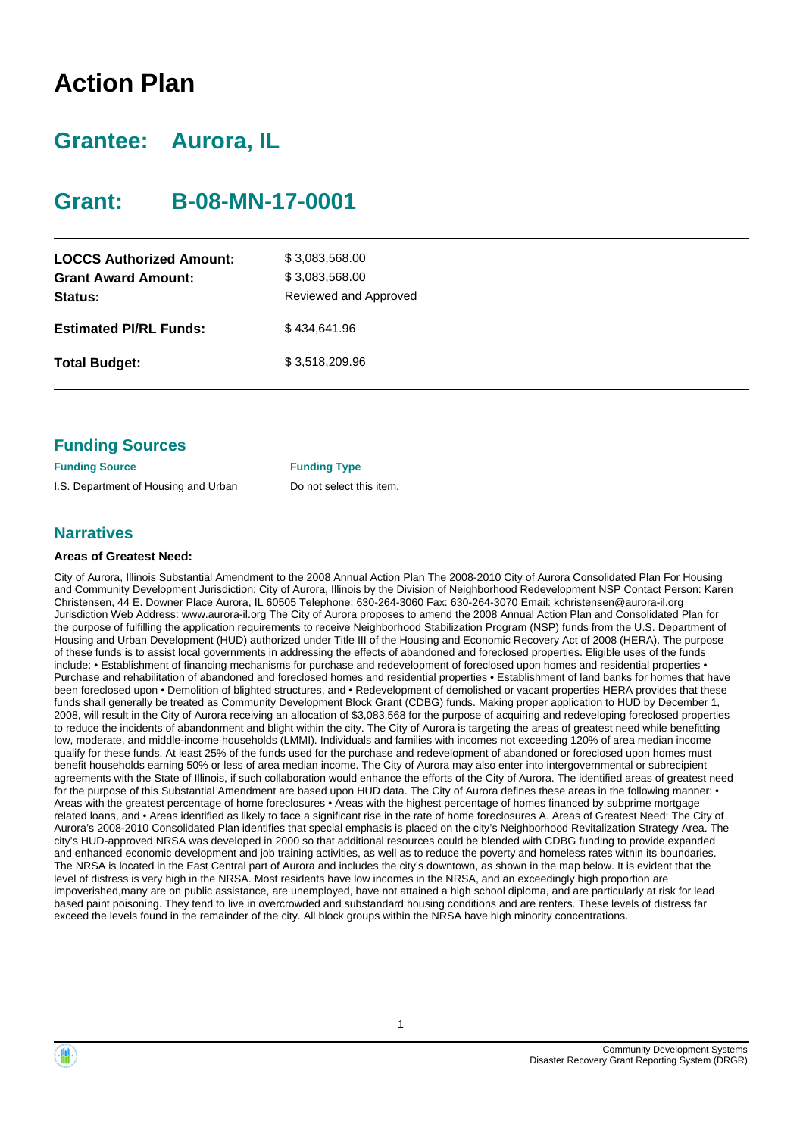## **Action Plan**

### **Grantee: Aurora, IL**

### **Grant: B-08-MN-17-0001**

| <b>LOCCS Authorized Amount:</b><br><b>Grant Award Amount:</b><br>Status: | \$3,083,568.00<br>\$3,083,568.00<br>Reviewed and Approved |
|--------------------------------------------------------------------------|-----------------------------------------------------------|
| <b>Estimated PI/RL Funds:</b>                                            | \$434.641.96                                              |
| <b>Total Budget:</b>                                                     | \$3.518.209.96                                            |

### **Funding Sources**

**Funding Source Funding Type** I.S. Department of Housing and Urban Do not select this item.

### **Narratives**

#### **Areas of Greatest Need:**

City of Aurora, Illinois Substantial Amendment to the 2008 Annual Action Plan The 2008-2010 City of Aurora Consolidated Plan For Housing and Community Development Jurisdiction: City of Aurora, Illinois by the Division of Neighborhood Redevelopment NSP Contact Person: Karen Christensen, 44 E. Downer Place Aurora, IL 60505 Telephone: 630-264-3060 Fax: 630-264-3070 Email: kchristensen@aurora-il.org Jurisdiction Web Address: www.aurora-il.org The City of Aurora proposes to amend the 2008 Annual Action Plan and Consolidated Plan for the purpose of fulfilling the application requirements to receive Neighborhood Stabilization Program (NSP) funds from the U.S. Department of Housing and Urban Development (HUD) authorized under Title III of the Housing and Economic Recovery Act of 2008 (HERA). The purpose of these funds is to assist local governments in addressing the effects of abandoned and foreclosed properties. Eligible uses of the funds include: • Establishment of financing mechanisms for purchase and redevelopment of foreclosed upon homes and residential properties • Purchase and rehabilitation of abandoned and foreclosed homes and residential properties • Establishment of land banks for homes that have been foreclosed upon • Demolition of blighted structures, and • Redevelopment of demolished or vacant properties HERA provides that these funds shall generally be treated as Community Development Block Grant (CDBG) funds. Making proper application to HUD by December 1, 2008, will result in the City of Aurora receiving an allocation of \$3,083,568 for the purpose of acquiring and redeveloping foreclosed properties to reduce the incidents of abandonment and blight within the city. The City of Aurora is targeting the areas of greatest need while benefitting low, moderate, and middle-income households (LMMI). Individuals and families with incomes not exceeding 120% of area median income qualify for these funds. At least 25% of the funds used for the purchase and redevelopment of abandoned or foreclosed upon homes must benefit households earning 50% or less of area median income. The City of Aurora may also enter into intergovernmental or subrecipient agreements with the State of Illinois, if such collaboration would enhance the efforts of the City of Aurora. The identified areas of greatest need for the purpose of this Substantial Amendment are based upon HUD data. The City of Aurora defines these areas in the following manner: • Areas with the greatest percentage of home foreclosures • Areas with the highest percentage of homes financed by subprime mortgage related loans, and • Areas identified as likely to face a significant rise in the rate of home foreclosures A. Areas of Greatest Need: The City of Aurora's 2008-2010 Consolidated Plan identifies that special emphasis is placed on the city's Neighborhood Revitalization Strategy Area. The city's HUD-approved NRSA was developed in 2000 so that additional resources could be blended with CDBG funding to provide expanded and enhanced economic development and job training activities, as well as to reduce the poverty and homeless rates within its boundaries. The NRSA is located in the East Central part of Aurora and includes the city's downtown, as shown in the map below. It is evident that the level of distress is very high in the NRSA. Most residents have low incomes in the NRSA, and an exceedingly high proportion are impoverished,many are on public assistance, are unemployed, have not attained a high school diploma, and are particularly at risk for lead based paint poisoning. They tend to live in overcrowded and substandard housing conditions and are renters. These levels of distress far exceed the levels found in the remainder of the city. All block groups within the NRSA have high minority concentrations.



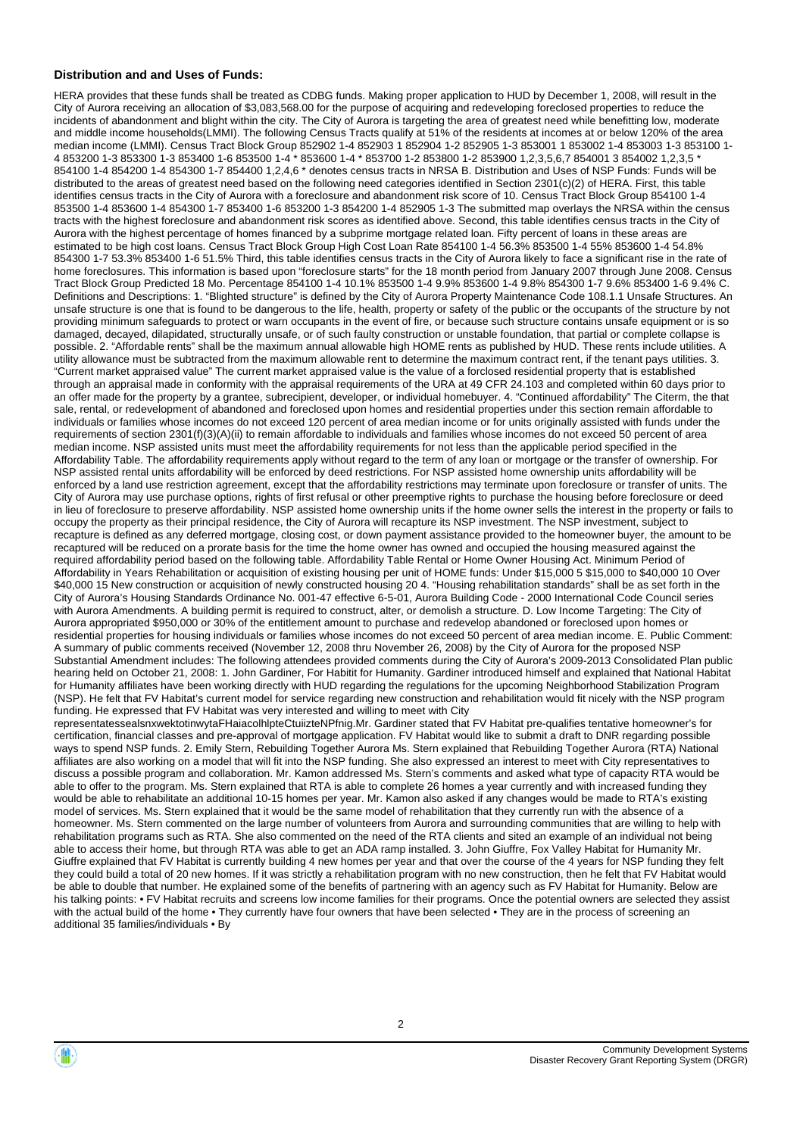#### **Distribution and and Uses of Funds:**

HERA provides that these funds shall be treated as CDBG funds. Making proper application to HUD by December 1, 2008, will result in the City of Aurora receiving an allocation of \$3,083,568.00 for the purpose of acquiring and redeveloping foreclosed properties to reduce the incidents of abandonment and blight within the city. The City of Aurora is targeting the area of greatest need while benefitting low, moderate and middle income households(LMMI). The following Census Tracts qualify at 51% of the residents at incomes at or below 120% of the area median income (LMMI). Census Tract Block Group 852902 1-4 852903 1 852904 1-2 852905 1-3 853001 1 853002 1-4 853003 1-3 853100 1- 4 853200 1-3 853300 1-3 853400 1-6 853500 1-4 \* 853600 1-4 \* 853700 1-2 853800 1-2 853900 1,2,3,5,6,7 854001 3 854002 1,2,3,5 \* 854100 1-4 854200 1-4 854300 1-7 854400 1,2,4,6 \* denotes census tracts in NRSA B. Distribution and Uses of NSP Funds: Funds will be distributed to the areas of greatest need based on the following need categories identified in Section 2301(c)(2) of HERA. First, this table identifies census tracts in the City of Aurora with a foreclosure and abandonment risk score of 10. Census Tract Block Group 854100 1-4 853500 1-4 853600 1-4 854300 1-7 853400 1-6 853200 1-3 854200 1-4 852905 1-3 The submitted map overlays the NRSA within the census tracts with the highest foreclosure and abandonment risk scores as identified above. Second, this table identifies census tracts in the City of Aurora with the highest percentage of homes financed by a subprime mortgage related loan. Fifty percent of loans in these areas are estimated to be high cost loans. Census Tract Block Group High Cost Loan Rate 854100 1-4 56.3% 853500 1-4 55% 853600 1-4 54.8% 854300 1-7 53.3% 853400 1-6 51.5% Third, this table identifies census tracts in the City of Aurora likely to face a significant rise in the rate of home foreclosures. This information is based upon "foreclosure starts" for the 18 month period from January 2007 through June 2008. Census Tract Block Group Predicted 18 Mo. Percentage 854100 1-4 10.1% 853500 1-4 9.9% 853600 1-4 9.8% 854300 1-7 9.6% 853400 1-6 9.4% C. Definitions and Descriptions: 1. "Blighted structure" is defined by the City of Aurora Property Maintenance Code 108.1.1 Unsafe Structures. An unsafe structure is one that is found to be dangerous to the life, health, property or safety of the public or the occupants of the structure by not providing minimum safeguards to protect or warn occupants in the event of fire, or because such structure contains unsafe equipment or is so damaged, decayed, dilapidated, structurally unsafe, or of such faulty construction or unstable foundation, that partial or complete collapse is possible. 2. "Affordable rents" shall be the maximum annual allowable high HOME rents as published by HUD. These rents include utilities. A utility allowance must be subtracted from the maximum allowable rent to determine the maximum contract rent, if the tenant pays utilities. 3. "Current market appraised value" The current market appraised value is the value of a forclosed residential property that is established through an appraisal made in conformity with the appraisal requirements of the URA at 49 CFR 24.103 and completed within 60 days prior to an offer made for the property by a grantee, subrecipient, developer, or individual homebuyer. 4. "Continued affordability" The Citerm, the that sale, rental, or redevelopment of abandoned and foreclosed upon homes and residential properties under this section remain affordable to individuals or families whose incomes do not exceed 120 percent of area median income or for units originally assisted with funds under the requirements of section 2301(f)(3)(A)(ii) to remain affordable to individuals and families whose incomes do not exceed 50 percent of area median income. NSP assisted units must meet the affordability requirements for not less than the applicable period specified in the Affordability Table. The affordability requirements apply without regard to the term of any loan or mortgage or the transfer of ownership. For NSP assisted rental units affordability will be enforced by deed restrictions. For NSP assisted home ownership units affordability will be enforced by a land use restriction agreement, except that the affordability restrictions may terminate upon foreclosure or transfer of units. The City of Aurora may use purchase options, rights of first refusal or other preemptive rights to purchase the housing before foreclosure or deed in lieu of foreclosure to preserve affordability. NSP assisted home ownership units if the home owner sells the interest in the property or fails to occupy the property as their principal residence, the City of Aurora will recapture its NSP investment. The NSP investment, subject to recapture is defined as any deferred mortgage, closing cost, or down payment assistance provided to the homeowner buyer, the amount to be recaptured will be reduced on a prorate basis for the time the home owner has owned and occupied the housing measured against the required affordability period based on the following table. Affordability Table Rental or Home Owner Housing Act. Minimum Period of Affordability in Years Rehabilitation or acquisition of existing housing per unit of HOME funds: Under \$15,000 5 \$15,000 to \$40,000 10 Over \$40,000 15 New construction or acquisition of newly constructed housing 20 4. "Housing rehabilitation standards" shall be as set forth in the City of Aurora's Housing Standards Ordinance No. 001-47 effective 6-5-01, Aurora Building Code - 2000 International Code Council series with Aurora Amendments. A building permit is required to construct, alter, or demolish a structure. D. Low Income Targeting: The City of Aurora appropriated \$950,000 or 30% of the entitlement amount to purchase and redevelop abandoned or foreclosed upon homes or residential properties for housing individuals or families whose incomes do not exceed 50 percent of area median income. E. Public Comment: A summary of public comments received (November 12, 2008 thru November 26, 2008) by the City of Aurora for the proposed NSP Substantial Amendment includes: The following attendees provided comments during the City of Aurora's 2009-2013 Consolidated Plan public hearing held on October 21, 2008: 1. John Gardiner, For Habitit for Humanity. Gardiner introduced himself and explained that National Habitat for Humanity affiliates have been working directly with HUD regarding the regulations for the upcoming Neighborhood Stabilization Program (NSP). He felt that FV Habitat's current model for service regarding new construction and rehabilitation would fit nicely with the NSP program funding. He expressed that FV Habitat was very interested and willing to meet with City representatessealsnxwektotinwytaFHaiacolhlpteCtuiizteNPfnig.Mr. Gardiner stated that FV Habitat pre-qualifies tentative homeowner's for certification, financial classes and pre-approval of mortgage application. FV Habitat would like to submit a draft to DNR regarding possible ways to spend NSP funds. 2. Emily Stern, Rebuilding Together Aurora Ms. Stern explained that Rebuilding Together Aurora (RTA) National affiliates are also working on a model that will fit into the NSP funding. She also expressed an interest to meet with City representatives to

discuss a possible program and collaboration. Mr. Kamon addressed Ms. Stern's comments and asked what type of capacity RTA would be able to offer to the program. Ms. Stern explained that RTA is able to complete 26 homes a year currently and with increased funding they would be able to rehabilitate an additional 10-15 homes per year. Mr. Kamon also asked if any changes would be made to RTA's existing model of services. Ms. Stern explained that it would be the same model of rehabilitation that they currently run with the absence of a homeowner. Ms. Stern commented on the large number of volunteers from Aurora and surrounding communities that are willing to help with rehabilitation programs such as RTA. She also commented on the need of the RTA clients and sited an example of an individual not being able to access their home, but through RTA was able to get an ADA ramp installed. 3. John Giuffre, Fox Valley Habitat for Humanity Mr. Giuffre explained that FV Habitat is currently building 4 new homes per year and that over the course of the 4 years for NSP funding they felt they could build a total of 20 new homes. If it was strictly a rehabilitation program with no new construction, then he felt that FV Habitat would be able to double that number. He explained some of the benefits of partnering with an agency such as FV Habitat for Humanity. Below are his talking points: • FV Habitat recruits and screens low income families for their programs. Once the potential owners are selected they assist with the actual build of the home • They currently have four owners that have been selected • They are in the process of screening an additional 35 families/individuals • By



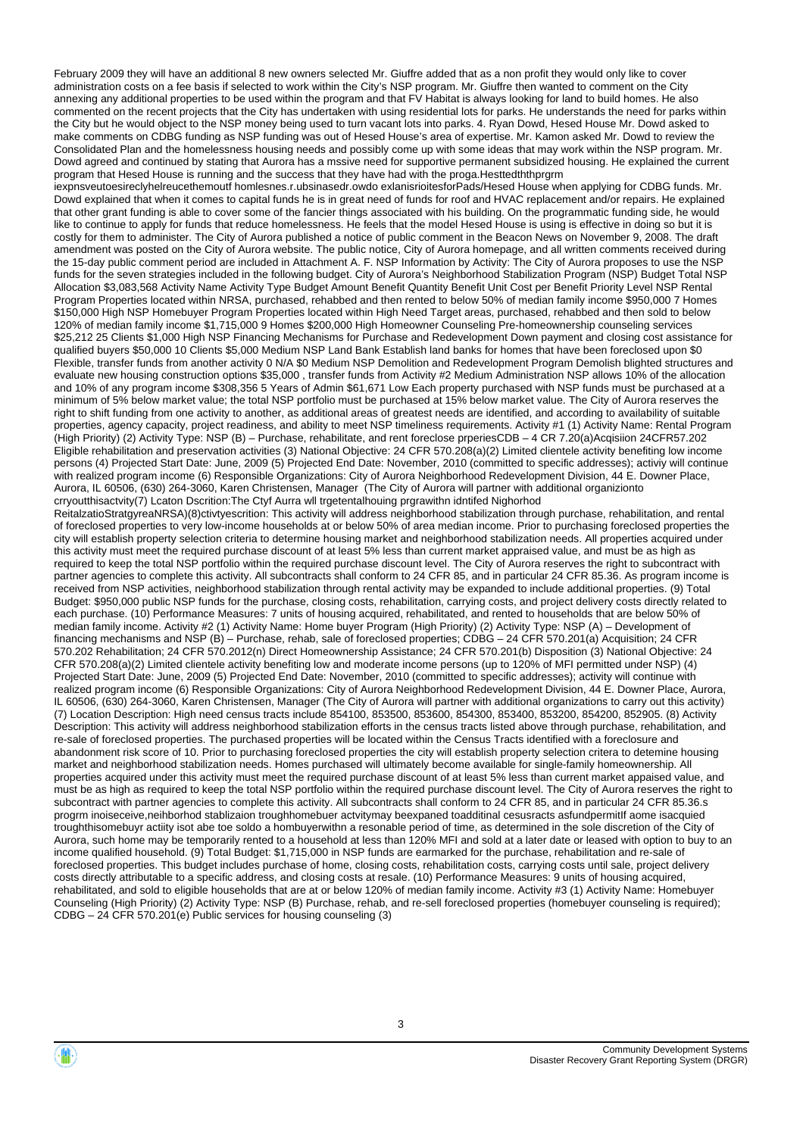February 2009 they will have an additional 8 new owners selected Mr. Giuffre added that as a non profit they would only like to cover administration costs on a fee basis if selected to work within the City's NSP program. Mr. Giuffre then wanted to comment on the City annexing any additional properties to be used within the program and that FV Habitat is always looking for land to build homes. He also commented on the recent projects that the City has undertaken with using residential lots for parks. He understands the need for parks within the City but he would object to the NSP money being used to turn vacant lots into parks. 4. Ryan Dowd, Hesed House Mr. Dowd asked to make comments on CDBG funding as NSP funding was out of Hesed House's area of expertise. Mr. Kamon asked Mr. Dowd to review the Consolidated Plan and the homelessness housing needs and possibly come up with some ideas that may work within the NSP program. Mr. Dowd agreed and continued by stating that Aurora has a mssive need for supportive permanent subsidized housing. He explained the current program that Hesed House is running and the success that they have had with the proga.Hesttedththprgrm

iexpnsveutoesireclyhelreucethemoutf homlesnes.r.ubsinasedr.owdo exlanisrioitesforPads/Hesed House when applying for CDBG funds. Mr. Dowd explained that when it comes to capital funds he is in great need of funds for roof and HVAC replacement and/or repairs. He explained that other grant funding is able to cover some of the fancier things associated with his building. On the programmatic funding side, he would like to continue to apply for funds that reduce homelessness. He feels that the model Hesed House is using is effective in doing so but it is costly for them to administer. The City of Aurora published a notice of public comment in the Beacon News on November 9, 2008. The draft amendment was posted on the City of Aurora website. The public notice, City of Aurora homepage, and all written comments received during the 15-day public comment period are included in Attachment A. F. NSP Information by Activity: The City of Aurora proposes to use the NSP funds for the seven strategies included in the following budget. City of Aurora's Neighborhood Stabilization Program (NSP) Budget Total NSP Allocation \$3,083,568 Activity Name Activity Type Budget Amount Benefit Quantity Benefit Unit Cost per Benefit Priority Level NSP Rental Program Properties located within NRSA, purchased, rehabbed and then rented to below 50% of median family income \$950,000 7 Homes \$150,000 High NSP Homebuyer Program Properties located within High Need Target areas, purchased, rehabbed and then sold to below 120% of median family income \$1,715,000 9 Homes \$200,000 High Homeowner Counseling Pre-homeownership counseling services \$25,212 25 Clients \$1,000 High NSP Financing Mechanisms for Purchase and Redevelopment Down payment and closing cost assistance for qualified buyers \$50,000 10 Clients \$5,000 Medium NSP Land Bank Establish land banks for homes that have been foreclosed upon \$0 Flexible, transfer funds from another activity 0 N/A \$0 Medium NSP Demolition and Redevelopment Program Demolish blighted structures and evaluate new housing construction options \$35,000 , transfer funds from Activity #2 Medium Administration NSP allows 10% of the allocation and 10% of any program income \$308,356 5 Years of Admin \$61,671 Low Each property purchased with NSP funds must be purchased at a minimum of 5% below market value; the total NSP portfolio must be purchased at 15% below market value. The City of Aurora reserves the right to shift funding from one activity to another, as additional areas of greatest needs are identified, and according to availability of suitable properties, agency capacity, project readiness, and ability to meet NSP timeliness requirements. Activity #1 (1) Activity Name: Rental Program (High Priority) (2) Activity Type: NSP (B) – Purchase, rehabilitate, and rent foreclose prperiesCDB – 4 CR 7.20(a)Acqisiion 24CFR57.202 Eligible rehabilitation and preservation activities (3) National Objective: 24 CFR 570.208(a)(2) Limited clientele activity benefiting low income persons (4) Projected Start Date: June, 2009 (5) Projected End Date: November, 2010 (committed to specific addresses); activiy will continue with realized program income (6) Responsible Organizations: City of Aurora Neighborhood Redevelopment Division, 44 E. Downer Place, Aurora, IL 60506, (630) 264-3060, Karen Christensen, Manager (The City of Aurora will partner with additional organizionto crryoutthisactvity(7) Lcaton Dscrition:The Ctyf Aurra wll trgetentalhouing prgrawithn idntifed Nighorhod

ReitalzatioStratgyreaNRSA)(8)ctivtyescrition: This activity will address neighborhood stabilization through purchase, rehabilitation, and rental of foreclosed properties to very low-income households at or below 50% of area median income. Prior to purchasing foreclosed properties the city will establish property selection criteria to determine housing market and neighborhood stabilization needs. All properties acquired under this activity must meet the required purchase discount of at least 5% less than current market appraised value, and must be as high as required to keep the total NSP portfolio within the required purchase discount level. The City of Aurora reserves the right to subcontract with partner agencies to complete this activity. All subcontracts shall conform to 24 CFR 85, and in particular 24 CFR 85.36. As program income is received from NSP activities, neighborhood stabilization through rental activity may be expanded to include additional properties. (9) Total Budget: \$950,000 public NSP funds for the purchase, closing costs, rehabilitation, carrying costs, and project delivery costs directly related to each purchase. (10) Performance Measures: 7 units of housing acquired, rehabilitated, and rented to households that are below 50% of median family income. Activity #2 (1) Activity Name: Home buyer Program (High Priority) (2) Activity Type: NSP (A) – Development of financing mechanisms and NSP (B) – Purchase, rehab, sale of foreclosed properties; CDBG – 24 CFR 570.201(a) Acquisition; 24 CFR 570.202 Rehabilitation; 24 CFR 570.2012(n) Direct Homeownership Assistance; 24 CFR 570.201(b) Disposition (3) National Objective: 24 CFR 570.208(a)(2) Limited clientele activity benefiting low and moderate income persons (up to 120% of MFI permitted under NSP) (4) Projected Start Date: June, 2009 (5) Projected End Date: November, 2010 (committed to specific addresses); activity will continue with realized program income (6) Responsible Organizations: City of Aurora Neighborhood Redevelopment Division, 44 E. Downer Place, Aurora, IL 60506, (630) 264-3060, Karen Christensen, Manager (The City of Aurora will partner with additional organizations to carry out this activity) (7) Location Description: High need census tracts include 854100, 853500, 853600, 854300, 853400, 853200, 854200, 852905. (8) Activity Description: This activity will address neighborhood stabilization efforts in the census tracts listed above through purchase, rehabilitation, and re-sale of foreclosed properties. The purchased properties will be located within the Census Tracts identified with a foreclosure and abandonment risk score of 10. Prior to purchasing foreclosed properties the city will establish property selection critera to detemine housing market and neighborhood stabilization needs. Homes purchased will ultimately become available for single-family homeownership. All properties acquired under this activity must meet the required purchase discount of at least 5% less than current market appaised value, and must be as high as required to keep the total NSP portfolio within the required purchase discount level. The City of Aurora reserves the right to subcontract with partner agencies to complete this activity. All subcontracts shall conform to 24 CFR 85, and in particular 24 CFR 85.36.s progrm inoiseceive,neihborhod stablizaion troughhomebuer actvitymay beexpaned toadditinal cesusracts asfundpermitIf aome isacquied troughthisomebuyr actiity isot abe toe soldo a hombuyerwithn a resonable period of time, as determined in the sole discretion of the City of Aurora, such home may be temporarily rented to a household at less than 120% MFI and sold at a later date or leased with option to buy to an income qualified household. (9) Total Budget: \$1,715,000 in NSP funds are earmarked for the purchase, rehabilitation and re-sale of foreclosed properties. This budget includes purchase of home, closing costs, rehabilitation costs, carrying costs until sale, project delivery costs directly attributable to a specific address, and closing costs at resale. (10) Performance Measures: 9 units of housing acquired, rehabilitated, and sold to eligible households that are at or below 120% of median family income. Activity #3 (1) Activity Name: Homebuyer Counseling (High Priority) (2) Activity Type: NSP (B) Purchase, rehab, and re-sell foreclosed properties (homebuyer counseling is required); CDBG – 24 CFR 570.201(e) Public services for housing counseling (3)

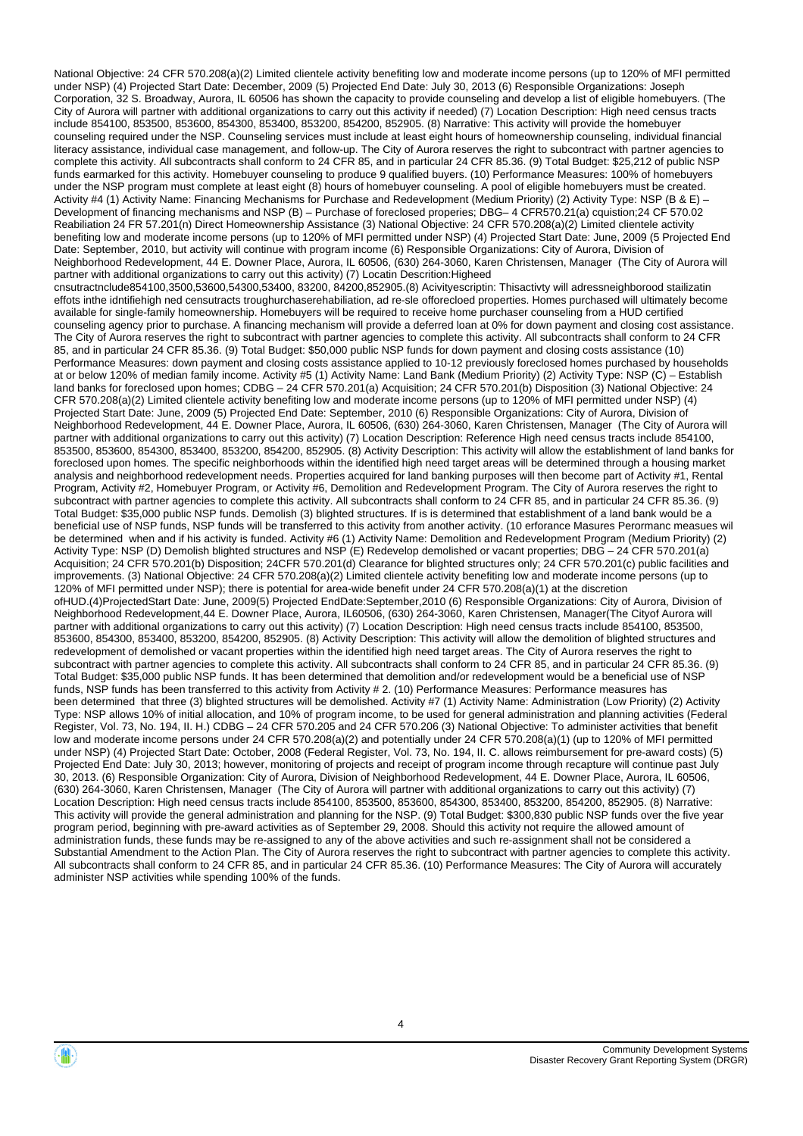National Objective: 24 CFR 570.208(a)(2) Limited clientele activity benefiting low and moderate income persons (up to 120% of MFI permitted under NSP) (4) Projected Start Date: December, 2009 (5) Projected End Date: July 30, 2013 (6) Responsible Organizations: Joseph Corporation, 32 S. Broadway, Aurora, IL 60506 has shown the capacity to provide counseling and develop a list of eligible homebuyers. (The City of Aurora will partner with additional organizations to carry out this activity if needed) (7) Location Description: High need census tracts include 854100, 853500, 853600, 854300, 853400, 853200, 854200, 852905. (8) Narrative: This activity will provide the homebuyer counseling required under the NSP. Counseling services must include at least eight hours of homeownership counseling, individual financial literacy assistance, individual case management, and follow-up. The City of Aurora reserves the right to subcontract with partner agencies to complete this activity. All subcontracts shall conform to 24 CFR 85, and in particular 24 CFR 85.36. (9) Total Budget: \$25,212 of public NSP funds earmarked for this activity. Homebuyer counseling to produce 9 qualified buyers. (10) Performance Measures: 100% of homebuyers under the NSP program must complete at least eight (8) hours of homebuyer counseling. A pool of eligible homebuyers must be created. Activity #4 (1) Activity Name: Financing Mechanisms for Purchase and Redevelopment (Medium Priority) (2) Activity Type: NSP (B & E) – Development of financing mechanisms and NSP (B) – Purchase of foreclosed properies; DBG– 4 CFR570.21(a) cquistion;24 CF 570.02 Reabiliation 24 FR 57.201(n) Direct Homeownership Assistance (3) National Objective: 24 CFR 570.208(a)(2) Limited clientele activity benefiting low and moderate income persons (up to 120% of MFI permitted under NSP) (4) Projected Start Date: June, 2009 (5 Projected End Date: September, 2010, but activity will continue with program income (6) Responsible Organizations: City of Aurora, Division of Neighborhood Redevelopment, 44 E. Downer Place, Aurora, IL 60506, (630) 264-3060, Karen Christensen, Manager (The City of Aurora will partner with additional organizations to carry out this activity) (7) Locatin Descrition:Higheed cnsutractnclude854100,3500,53600,54300,53400, 83200, 84200,852905.(8) Acivityescriptin: Thisactivty will adressneighborood stailizatin effots inthe idntifiehigh ned censutracts troughurchaserehabiliation, ad re-sle offorecloed properties. Homes purchased will ultimately become available for single-family homeownership. Homebuyers will be required to receive home purchaser counseling from a HUD certified counseling agency prior to purchase. A financing mechanism will provide a deferred loan at 0% for down payment and closing cost assistance. The City of Aurora reserves the right to subcontract with partner agencies to complete this activity. All subcontracts shall conform to 24 CFR 85, and in particular 24 CFR 85.36. (9) Total Budget: \$50,000 public NSP funds for down payment and closing costs assistance (10) Performance Measures: down payment and closing costs assistance applied to 10-12 previously foreclosed homes purchased by households at or below 120% of median family income. Activity #5 (1) Activity Name: Land Bank (Medium Priority) (2) Activity Type: NSP (C) – Establish land banks for foreclosed upon homes; CDBG – 24 CFR 570.201(a) Acquisition; 24 CFR 570.201(b) Disposition (3) National Objective: 24 CFR 570.208(a)(2) Limited clientele activity benefiting low and moderate income persons (up to 120% of MFI permitted under NSP) (4) Projected Start Date: June, 2009 (5) Projected End Date: September, 2010 (6) Responsible Organizations: City of Aurora, Division of Neighborhood Redevelopment, 44 E. Downer Place, Aurora, IL 60506, (630) 264-3060, Karen Christensen, Manager (The City of Aurora will partner with additional organizations to carry out this activity) (7) Location Description: Reference High need census tracts include 854100, 853500, 853600, 854300, 853400, 853200, 854200, 852905. (8) Activity Description: This activity will allow the establishment of land banks for foreclosed upon homes. The specific neighborhoods within the identified high need target areas will be determined through a housing market analysis and neighborhood redevelopment needs. Properties acquired for land banking purposes will then become part of Activity #1, Rental Program, Activity #2, Homebuyer Program, or Activity #6, Demolition and Redevelopment Program. The City of Aurora reserves the right to subcontract with partner agencies to complete this activity. All subcontracts shall conform to 24 CFR 85, and in particular 24 CFR 85.36. (9) Total Budget: \$35,000 public NSP funds. Demolish (3) blighted structures. If is is determined that establishment of a land bank would be a beneficial use of NSP funds, NSP funds will be transferred to this activity from another activity. (10 erforance Masures Perormanc measues wil be determined when and if his activity is funded. Activity #6 (1) Activity Name: Demolition and Redevelopment Program (Medium Priority) (2) Activity Type: NSP (D) Demolish blighted structures and NSP (E) Redevelop demolished or vacant properties; DBG - 24 CFR 570.201(a) Acquisition; 24 CFR 570.201(b) Disposition; 24CFR 570.201(d) Clearance for blighted structures only; 24 CFR 570.201(c) public facilities and improvements. (3) National Objective: 24 CFR 570.208(a)(2) Limited clientele activity benefiting low and moderate income persons (up to 120% of MFI permitted under NSP); there is potential for area-wide benefit under 24 CFR 570.208(a)(1) at the discretion ofHUD.(4)ProjectedStart Date: June, 2009(5) Projected EndDate:September,2010 (6) Responsible Organizations: City of Aurora, Division of Neighborhood Redevelopment,44 E. Downer Place, Aurora, IL60506, (630) 264-3060, Karen Christensen, Manager(The Cityof Aurora will partner with additional organizations to carry out this activity) (7) Location Description: High need census tracts include 854100, 853500, 853600, 854300, 853400, 853200, 854200, 852905. (8) Activity Description: This activity will allow the demolition of blighted structures and redevelopment of demolished or vacant properties within the identified high need target areas. The City of Aurora reserves the right to subcontract with partner agencies to complete this activity. All subcontracts shall conform to 24 CFR 85, and in particular 24 CFR 85.36. (9) Total Budget: \$35,000 public NSP funds. It has been determined that demolition and/or redevelopment would be a beneficial use of NSP funds, NSP funds has been transferred to this activity from Activity # 2. (10) Performance Measures: Performance measures has been determined that three (3) blighted structures will be demolished. Activity #7 (1) Activity Name: Administration (Low Priority) (2) Activity Type: NSP allows 10% of initial allocation, and 10% of program income, to be used for general administration and planning activities (Federal Register, Vol. 73, No. 194, II. H.) CDBG – 24 CFR 570.205 and 24 CFR 570.206 (3) National Objective: To administer activities that benefit low and moderate income persons under 24 CFR 570.208(a)(2) and potentially under 24 CFR 570.208(a)(1) (up to 120% of MFI permitted under NSP) (4) Projected Start Date: October, 2008 (Federal Register, Vol. 73, No. 194, II. C. allows reimbursement for pre-award costs) (5) Projected End Date: July 30, 2013; however, monitoring of projects and receipt of program income through recapture will continue past July 30, 2013. (6) Responsible Organization: City of Aurora, Division of Neighborhood Redevelopment, 44 E. Downer Place, Aurora, IL 60506, (630) 264-3060, Karen Christensen, Manager (The City of Aurora will partner with additional organizations to carry out this activity) (7) Location Description: High need census tracts include 854100, 853500, 853600, 854300, 853400, 853200, 854200, 852905. (8) Narrative: This activity will provide the general administration and planning for the NSP. (9) Total Budget: \$300,830 public NSP funds over the five year program period, beginning with pre-award activities as of September 29, 2008. Should this activity not require the allowed amount of administration funds, these funds may be re-assigned to any of the above activities and such re-assignment shall not be considered a Substantial Amendment to the Action Plan. The City of Aurora reserves the right to subcontract with partner agencies to complete this activity. All subcontracts shall conform to 24 CFR 85, and in particular 24 CFR 85.36. (10) Performance Measures: The City of Aurora will accurately administer NSP activities while spending 100% of the funds.

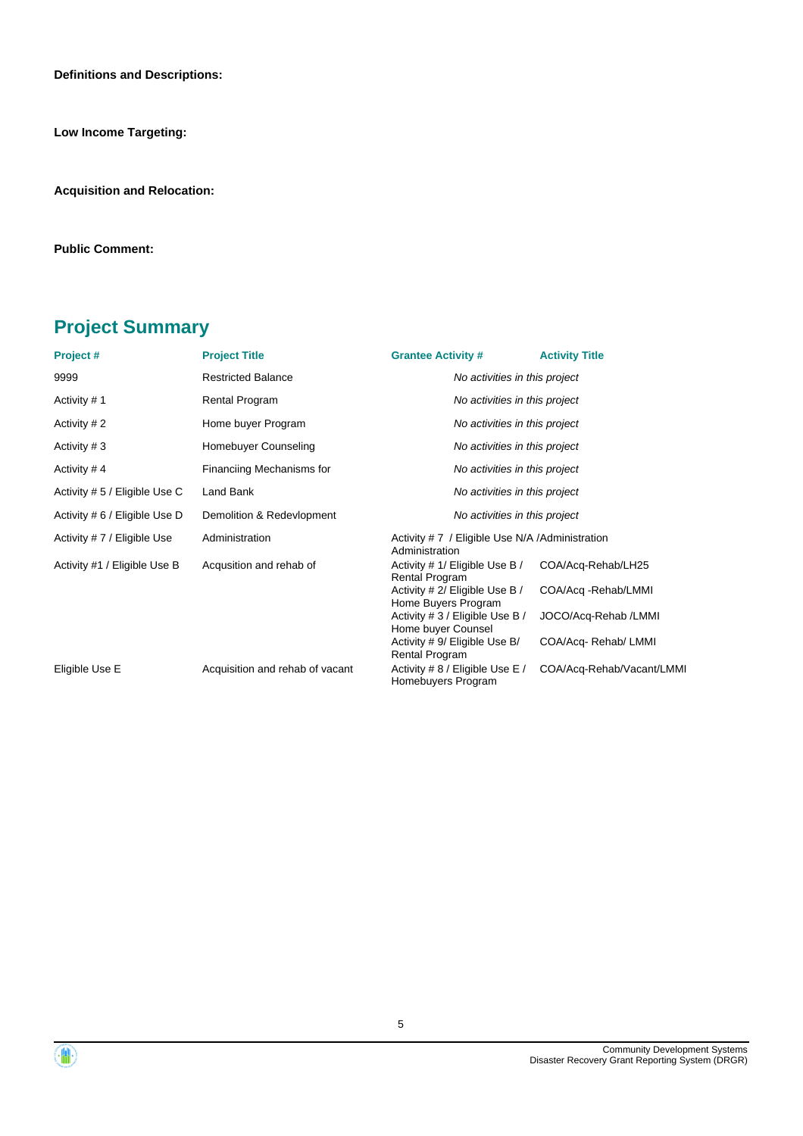**Definitions and Descriptions:**

**Low Income Targeting:**

**Acquisition and Relocation:**

**Public Comment:**

### **Project Summary**

| Project#                      | <b>Project Title</b>            | <b>Grantee Activity #</b>                                         | <b>Activity Title</b>     |  |  |
|-------------------------------|---------------------------------|-------------------------------------------------------------------|---------------------------|--|--|
| 9999                          | <b>Restricted Balance</b>       | No activities in this project                                     |                           |  |  |
| Activity #1                   | Rental Program                  | No activities in this project                                     |                           |  |  |
| Activity #2                   | Home buyer Program              | No activities in this project                                     |                           |  |  |
| Activity #3                   | Homebuyer Counseling            | No activities in this project                                     |                           |  |  |
| Activity #4                   | Financiing Mechanisms for       | No activities in this project                                     |                           |  |  |
| Activity # 5 / Eligible Use C | Land Bank                       | No activities in this project                                     |                           |  |  |
| Activity # 6 / Eligible Use D | Demolition & Redevlopment       | No activities in this project                                     |                           |  |  |
| Activity #7 / Eligible Use    | Administration                  | Activity #7 / Eligible Use N/A / Administration<br>Administration |                           |  |  |
| Activity #1 / Eligible Use B  | Acqusition and rehab of         | Activity # 1/ Eligible Use B /<br>Rental Program                  | COA/Acq-Rehab/LH25        |  |  |
|                               |                                 | Activity # 2/ Eligible Use B /<br>Home Buyers Program             | COA/Acq -Rehab/LMMI       |  |  |
|                               |                                 | Activity # 3 / Eligible Use B /<br>Home buyer Counsel             | JOCO/Acq-Rehab /LMMI      |  |  |
|                               |                                 | Activity # 9/ Eligible Use B/<br>Rental Program                   | COA/Acq-Rehab/LMMI        |  |  |
| Eligible Use E                | Acquisition and rehab of vacant | Activity # 8 / Eligible Use E /<br>Homebuyers Program             | COA/Acq-Rehab/Vacant/LMMI |  |  |

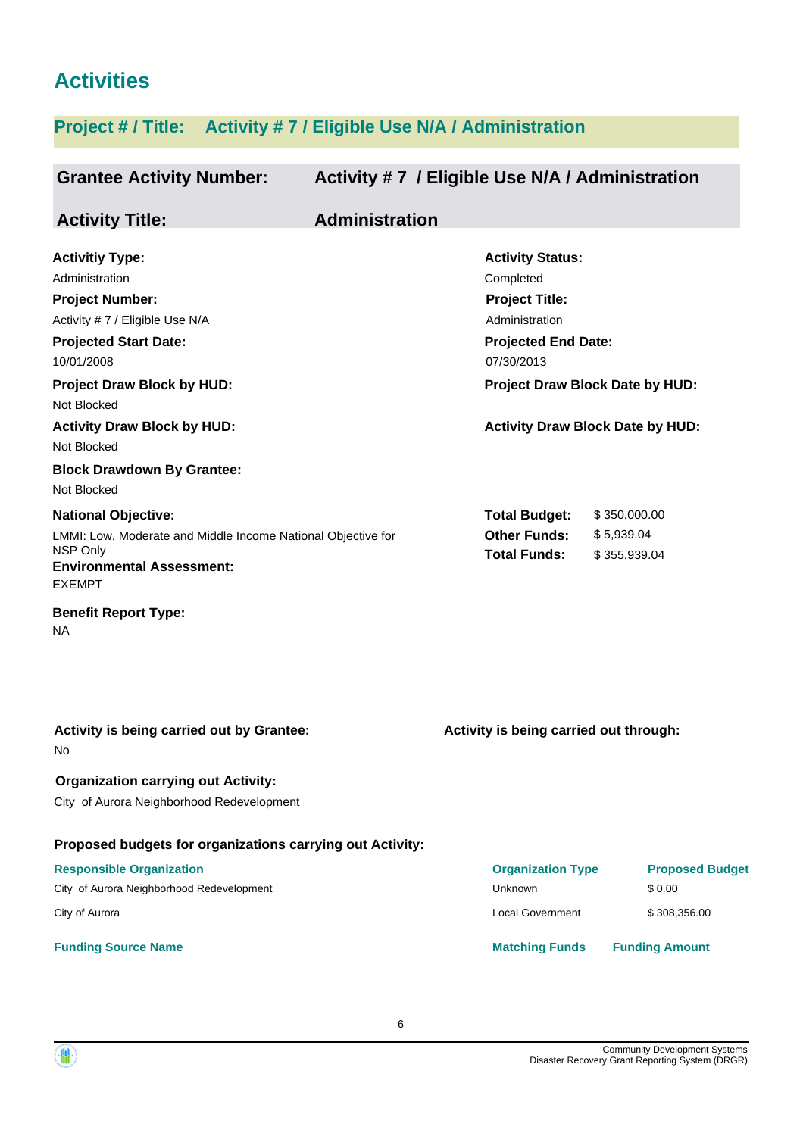### **Activities**

### **Project # / Title: Activity # 7 / Eligible Use N/A / Administration**

| <b>Grantee Activity Number:</b>                                                                                                                                                                                                                                                                  | Activity #7 / Eligible Use N/A / Administration                                                                                                                                                           |
|--------------------------------------------------------------------------------------------------------------------------------------------------------------------------------------------------------------------------------------------------------------------------------------------------|-----------------------------------------------------------------------------------------------------------------------------------------------------------------------------------------------------------|
| <b>Activity Title:</b>                                                                                                                                                                                                                                                                           | <b>Administration</b>                                                                                                                                                                                     |
| <b>Activitiy Type:</b><br>Administration<br><b>Project Number:</b><br>Activity #7 / Eligible Use N/A<br><b>Projected Start Date:</b><br>10/01/2008<br><b>Project Draw Block by HUD:</b><br>Not Blocked<br><b>Activity Draw Block by HUD:</b><br>Not Blocked<br><b>Block Drawdown By Grantee:</b> | <b>Activity Status:</b><br>Completed<br><b>Project Title:</b><br>Administration<br><b>Projected End Date:</b><br>07/30/2013<br>Project Draw Block Date by HUD:<br><b>Activity Draw Block Date by HUD:</b> |
| Not Blocked<br><b>National Objective:</b><br>LMMI: Low, Moderate and Middle Income National Objective for<br>NSP Only<br><b>Environmental Assessment:</b><br><b>EXEMPT</b><br><b>Benefit Report Type:</b><br>NA                                                                                  | <b>Total Budget:</b><br>\$350,000.00<br><b>Other Funds:</b><br>\$5,939.04<br><b>Total Funds:</b><br>\$355,939.04                                                                                          |
| Activity is being carried out by Grantee:<br>No<br><b>Organization carrying out Activity:</b><br>City of Aurora Neighborhood Redevelopment                                                                                                                                                       | Activity is being carried out through:                                                                                                                                                                    |
| Proposed budgets for organizations carrying out Activity:<br><b>Responsible Organization</b><br>City of Aurora Neighborhood Redevelopment<br>City of Aurora                                                                                                                                      | <b>Organization Type</b><br><b>Proposed Budget</b><br>Unknown<br>\$0.00<br><b>Local Government</b><br>\$308,356.00                                                                                        |

#### **Funding Source Name Matching Funds Funding Amount**

Community Development Systems Disaster Recovery Grant Reporting System (DRGR)

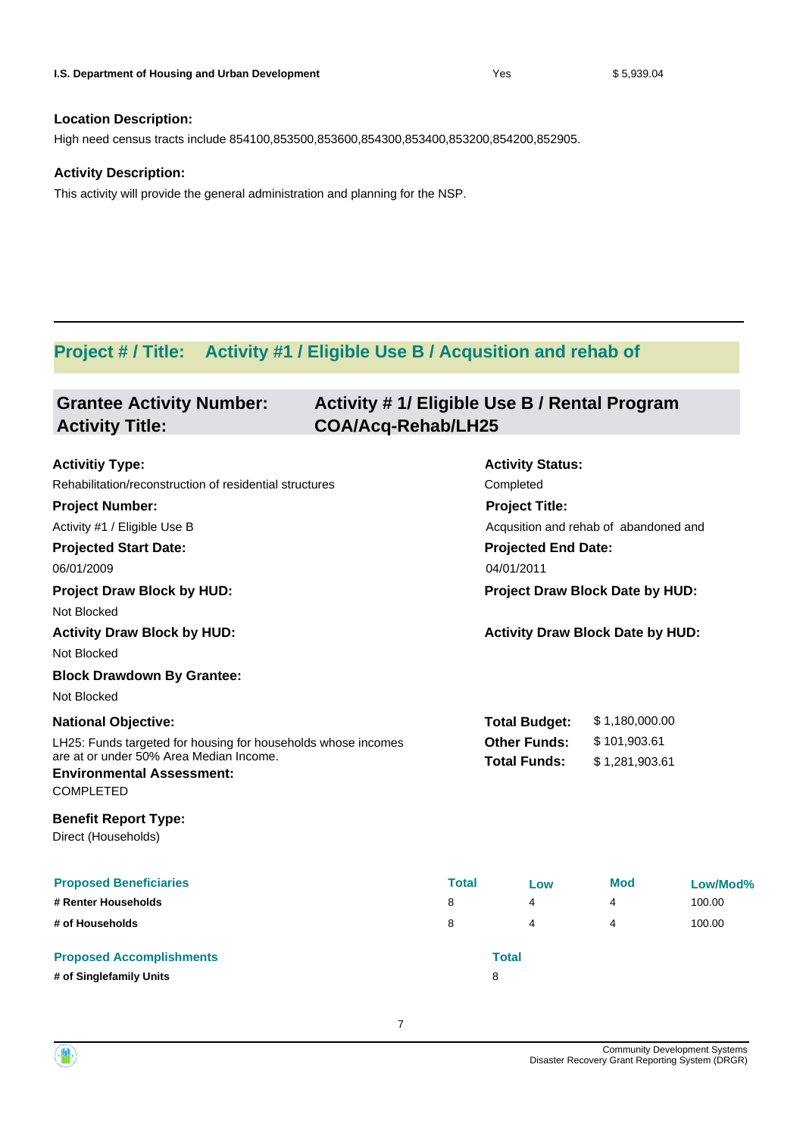High need census tracts include 854100,853500,853600,854300,853400,853200,854200,852905.

### **Activity Description:**

This activity will provide the general administration and planning for the NSP.

### **Project # / Title: Activity #1 / Eligible Use B / Acqusition and rehab of**

| <b>Grantee Activity Number:</b><br><b>Activity Title:</b>     | Activity # 1/ Eligible Use B / Rental Program<br><b>COA/Acq-Rehab/LH25</b> |              |                                         |                |          |
|---------------------------------------------------------------|----------------------------------------------------------------------------|--------------|-----------------------------------------|----------------|----------|
| <b>Activitiy Type:</b>                                        |                                                                            |              | <b>Activity Status:</b>                 |                |          |
| Rehabilitation/reconstruction of residential structures       |                                                                            |              | Completed                               |                |          |
| <b>Project Number:</b>                                        |                                                                            |              | <b>Project Title:</b>                   |                |          |
| Activity #1 / Eligible Use B                                  |                                                                            |              | Acqusition and rehab of abandoned and   |                |          |
| <b>Projected Start Date:</b>                                  |                                                                            |              | <b>Projected End Date:</b>              |                |          |
| 06/01/2009                                                    |                                                                            |              | 04/01/2011                              |                |          |
| <b>Project Draw Block by HUD:</b>                             |                                                                            |              | Project Draw Block Date by HUD:         |                |          |
| Not Blocked                                                   |                                                                            |              |                                         |                |          |
| <b>Activity Draw Block by HUD:</b>                            |                                                                            |              | <b>Activity Draw Block Date by HUD:</b> |                |          |
| Not Blocked                                                   |                                                                            |              |                                         |                |          |
| <b>Block Drawdown By Grantee:</b>                             |                                                                            |              |                                         |                |          |
| Not Blocked                                                   |                                                                            |              |                                         |                |          |
| <b>National Objective:</b>                                    |                                                                            |              | <b>Total Budget:</b>                    | \$1,180,000.00 |          |
| LH25: Funds targeted for housing for households whose incomes |                                                                            |              | <b>Other Funds:</b><br>\$101,903.61     |                |          |
| are at or under 50% Area Median Income.                       |                                                                            |              | <b>Total Funds:</b>                     | \$1,281,903.61 |          |
| <b>Environmental Assessment:</b><br><b>COMPLETED</b>          |                                                                            |              |                                         |                |          |
| <b>Benefit Report Type:</b><br>Direct (Households)            |                                                                            |              |                                         |                |          |
| <b>Proposed Beneficiaries</b>                                 |                                                                            | <b>Total</b> | Low                                     | <b>Mod</b>     | Low/Mod% |
| # Renter Households                                           |                                                                            | 8            | 4                                       | 4              | 100.00   |
| # of Households                                               |                                                                            | 8            | 4                                       | 4              | 100.00   |
| <b>Proposed Accomplishments</b>                               |                                                                            |              | <b>Total</b>                            |                |          |
| # of Singlefamily Units                                       |                                                                            |              | 8                                       |                |          |

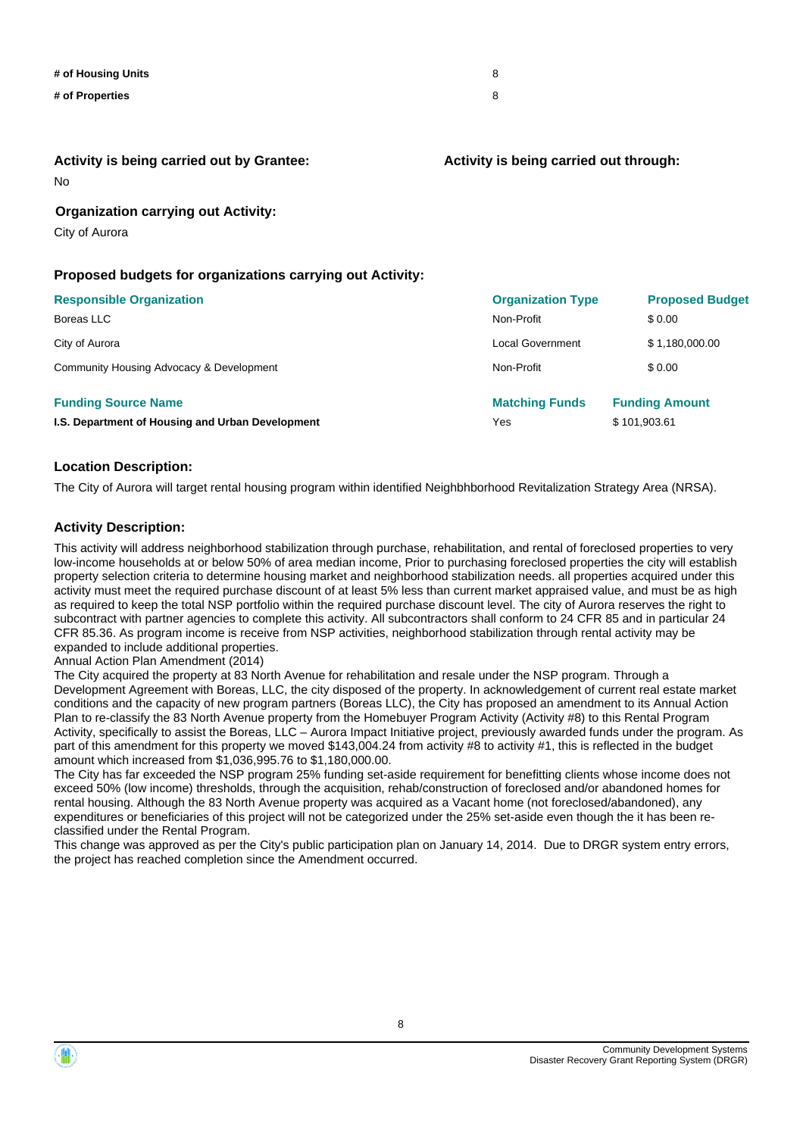| # of Housing Units | 8 |
|--------------------|---|
| # of Properties    | 8 |
|                    |   |

No **Activity is being carried out by Grantee:**

#### **Activity is being carried out through:**

**Organization carrying out Activity:**

City of Aurora

### **Proposed budgets for organizations carrying out Activity:**

| <b>Responsible Organization</b>                  | <b>Organization Type</b> | <b>Proposed Budget</b> |
|--------------------------------------------------|--------------------------|------------------------|
| Boreas LLC                                       | Non-Profit               | \$ 0.00                |
| City of Aurora                                   | <b>Local Government</b>  | \$1,180,000.00         |
| Community Housing Advocacy & Development         | Non-Profit               | \$0.00                 |
| <b>Funding Source Name</b>                       | <b>Matching Funds</b>    | <b>Funding Amount</b>  |
| I.S. Department of Housing and Urban Development | Yes                      | \$101.903.61           |

#### **Location Description:**

The City of Aurora will target rental housing program within identified Neighbhborhood Revitalization Strategy Area (NRSA).

#### **Activity Description:**

This activity will address neighborhood stabilization through purchase, rehabilitation, and rental of foreclosed properties to very low-income households at or below 50% of area median income, Prior to purchasing foreclosed properties the city will establish property selection criteria to determine housing market and neighborhood stabilization needs. all properties acquired under this activity must meet the required purchase discount of at least 5% less than current market appraised value, and must be as high as required to keep the total NSP portfolio within the required purchase discount level. The city of Aurora reserves the right to subcontract with partner agencies to complete this activity. All subcontractors shall conform to 24 CFR 85 and in particular 24 CFR 85.36. As program income is receive from NSP activities, neighborhood stabilization through rental activity may be expanded to include additional properties.

Annual Action Plan Amendment (2014)

The City acquired the property at 83 North Avenue for rehabilitation and resale under the NSP program. Through a Development Agreement with Boreas, LLC, the city disposed of the property. In acknowledgement of current real estate market conditions and the capacity of new program partners (Boreas LLC), the City has proposed an amendment to its Annual Action Plan to re-classify the 83 North Avenue property from the Homebuyer Program Activity (Activity #8) to this Rental Program Activity, specifically to assist the Boreas, LLC – Aurora Impact Initiative project, previously awarded funds under the program. As part of this amendment for this property we moved \$143,004.24 from activity #8 to activity #1, this is reflected in the budget amount which increased from \$1,036,995.76 to \$1,180,000.00.

The City has far exceeded the NSP program 25% funding set-aside requirement for benefitting clients whose income does not exceed 50% (low income) thresholds, through the acquisition, rehab/construction of foreclosed and/or abandoned homes for rental housing. Although the 83 North Avenue property was acquired as a Vacant home (not foreclosed/abandoned), any expenditures or beneficiaries of this project will not be categorized under the 25% set-aside even though the it has been reclassified under the Rental Program.

This change was approved as per the City's public participation plan on January 14, 2014. Due to DRGR system entry errors, the project has reached completion since the Amendment occurred.

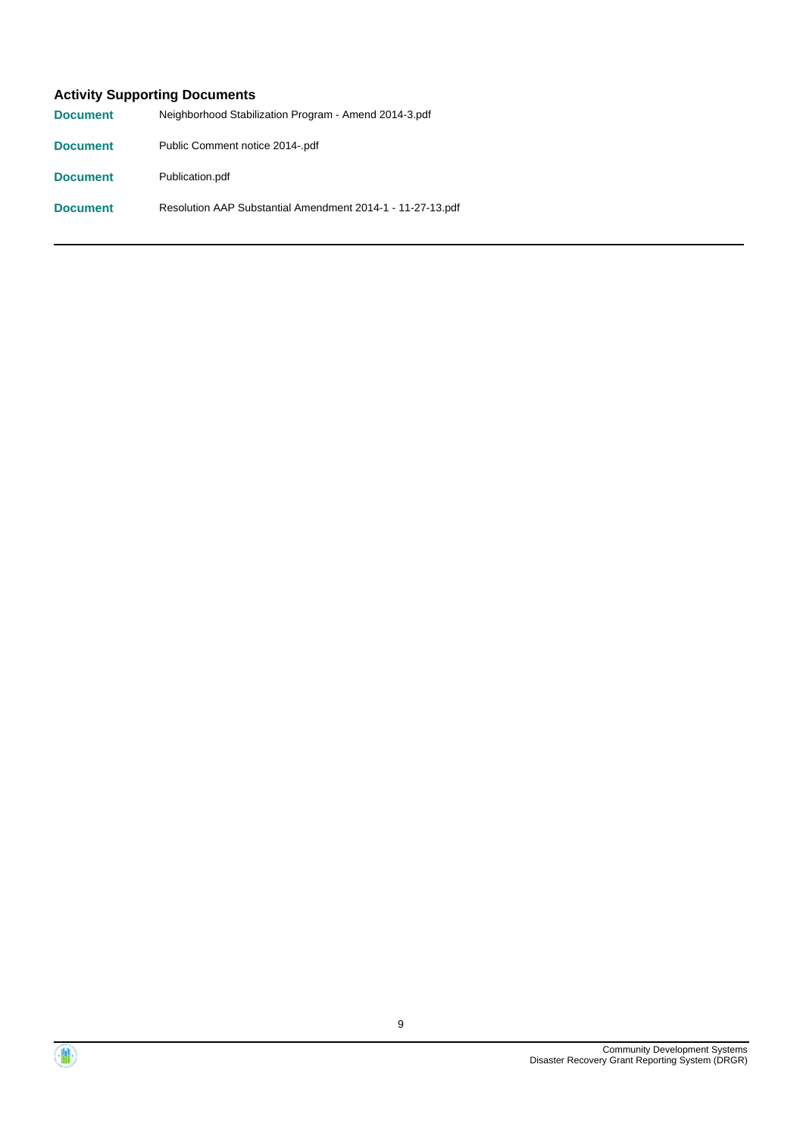### **Activity Supporting Documents**

| <b>Document</b> | Neighborhood Stabilization Program - Amend 2014-3.pdf      |
|-----------------|------------------------------------------------------------|
| <b>Document</b> | Public Comment notice 2014-.pdf                            |
| <b>Document</b> | Publication.pdf                                            |
| <b>Document</b> | Resolution AAP Substantial Amendment 2014-1 - 11-27-13.pdf |



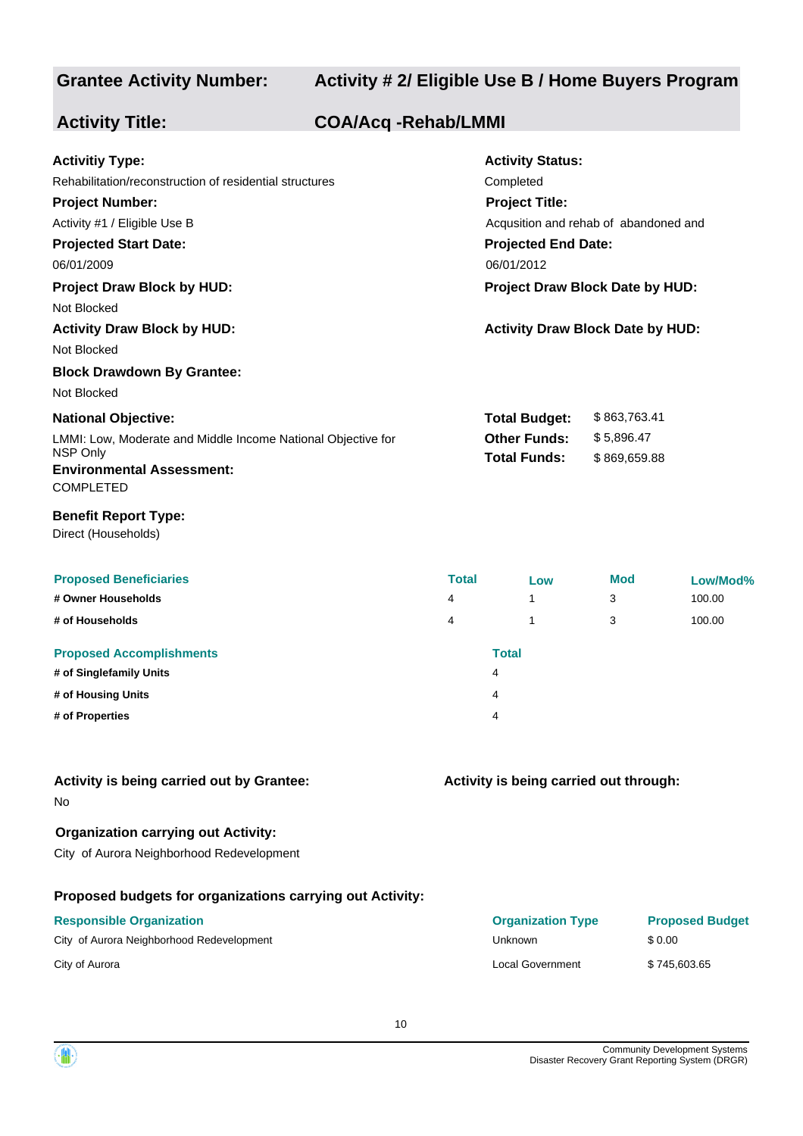### **Grantee Activity Number:**

### **Activity # 2/ Eligible Use B / Home Buyers Program**

| <b>Activity Title:</b>                                                                                                                                                                                                                        | <b>COA/Acq -Rehab/LMMI</b> |              |                                                                                                                                                                                       |                            |          |
|-----------------------------------------------------------------------------------------------------------------------------------------------------------------------------------------------------------------------------------------------|----------------------------|--------------|---------------------------------------------------------------------------------------------------------------------------------------------------------------------------------------|----------------------------|----------|
| <b>Activitiy Type:</b><br>Rehabilitation/reconstruction of residential structures<br><b>Project Number:</b><br>Activity #1 / Eligible Use B<br><b>Projected Start Date:</b><br>06/01/2009<br><b>Project Draw Block by HUD:</b><br>Not Blocked |                            |              | <b>Activity Status:</b><br>Completed<br><b>Project Title:</b><br>Acqusition and rehab of abandoned and<br><b>Projected End Date:</b><br>06/01/2012<br>Project Draw Block Date by HUD: |                            |          |
| <b>Activity Draw Block by HUD:</b>                                                                                                                                                                                                            |                            |              | <b>Activity Draw Block Date by HUD:</b>                                                                                                                                               |                            |          |
| Not Blocked                                                                                                                                                                                                                                   |                            |              |                                                                                                                                                                                       |                            |          |
| <b>Block Drawdown By Grantee:</b>                                                                                                                                                                                                             |                            |              |                                                                                                                                                                                       |                            |          |
| Not Blocked                                                                                                                                                                                                                                   |                            |              |                                                                                                                                                                                       |                            |          |
| <b>National Objective:</b>                                                                                                                                                                                                                    |                            |              | <b>Total Budget:</b>                                                                                                                                                                  | \$863,763.41               |          |
| LMMI: Low, Moderate and Middle Income National Objective for<br>NSP Only<br><b>Environmental Assessment:</b><br><b>COMPLETED</b>                                                                                                              |                            |              | <b>Other Funds:</b><br><b>Total Funds:</b>                                                                                                                                            | \$5,896.47<br>\$869,659.88 |          |
| <b>Benefit Report Type:</b><br>Direct (Households)                                                                                                                                                                                            |                            |              |                                                                                                                                                                                       |                            |          |
| <b>Proposed Beneficiaries</b>                                                                                                                                                                                                                 |                            | <b>Total</b> | Low                                                                                                                                                                                   | <b>Mod</b>                 | Low/Mod% |
| # Owner Households                                                                                                                                                                                                                            |                            | 4            | $\mathbf{1}$                                                                                                                                                                          | 3                          | 100.00   |
| # of Households                                                                                                                                                                                                                               |                            | 4            | 1                                                                                                                                                                                     | 3                          | 100.00   |
| <b>Proposed Accomplishments</b>                                                                                                                                                                                                               |                            |              | <b>Total</b>                                                                                                                                                                          |                            |          |
| # of Singlefamily Units                                                                                                                                                                                                                       |                            |              | 4                                                                                                                                                                                     |                            |          |
| # of Housing Units                                                                                                                                                                                                                            |                            |              | 4                                                                                                                                                                                     |                            |          |
| # of Properties                                                                                                                                                                                                                               |                            |              |                                                                                                                                                                                       |                            |          |
| Activity is being carried out by Grantee:<br>No                                                                                                                                                                                               |                            |              | Activity is being carried out through:                                                                                                                                                |                            |          |
| <b>Organization carrying out Activity:</b><br>City of Aurora Neighborhood Redevelopment                                                                                                                                                       |                            |              |                                                                                                                                                                                       |                            |          |

### **Proposed budgets for organizations carrying out Activity:**

### **Responsible Organization**

City of Aurora Neighborhood Redevelopment Units of Aurora Neighborhood Bedevelopment

City of Aurora Local Government \$ 745,603.65

| <b>Organization Type</b> | <b>Proposed Budget</b> |
|--------------------------|------------------------|
| Unknown                  | \$0.00                 |
| Local Government         | \$745,603.65           |

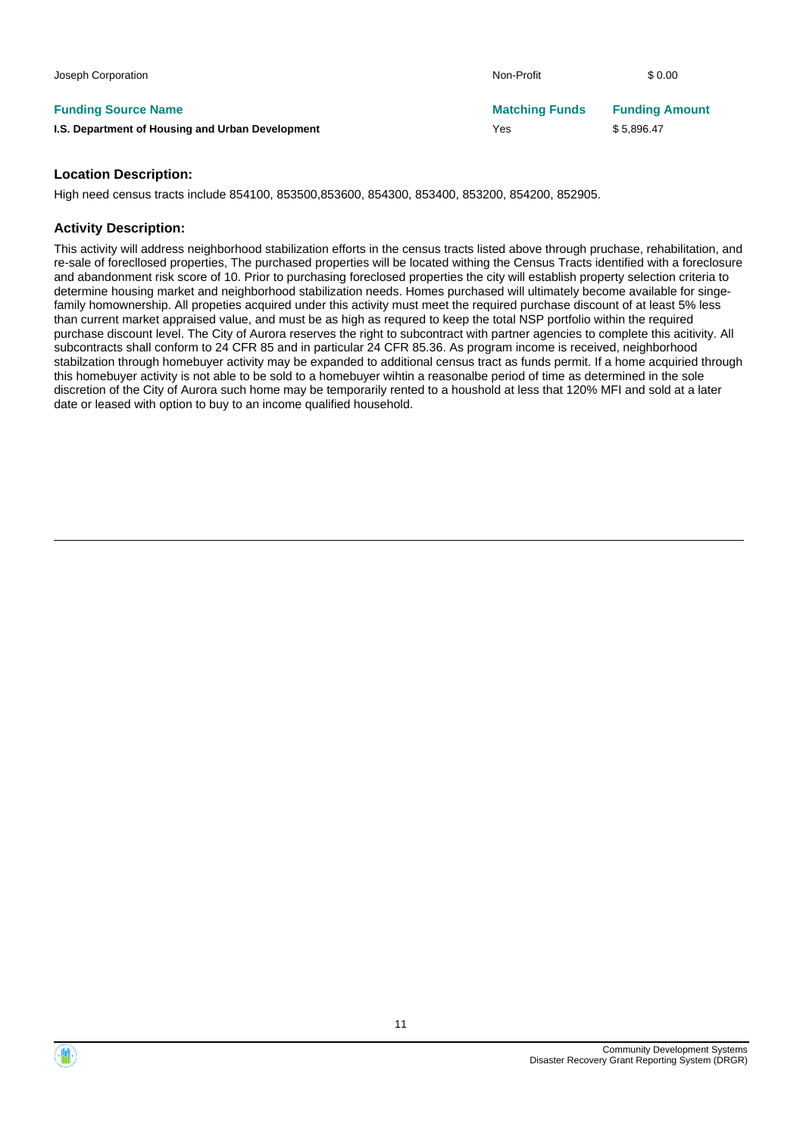| Joseph Corporation                               | Non-Profit            | \$0.00                |
|--------------------------------------------------|-----------------------|-----------------------|
| <b>Funding Source Name</b>                       | <b>Matching Funds</b> | <b>Funding Amount</b> |
| I.S. Department of Housing and Urban Development | Yes                   | \$5.896.47            |

High need census tracts include 854100, 853500,853600, 854300, 853400, 853200, 854200, 852905.

### **Activity Description:**

This activity will address neighborhood stabilization efforts in the census tracts listed above through pruchase, rehabilitation, and re-sale of forecllosed properties, The purchased properties will be located withing the Census Tracts identified with a foreclosure and abandonment risk score of 10. Prior to purchasing foreclosed properties the city will establish property selection criteria to determine housing market and neighborhood stabilization needs. Homes purchased will ultimately become available for singefamily homownership. All propeties acquired under this activity must meet the required purchase discount of at least 5% less than current market appraised value, and must be as high as requred to keep the total NSP portfolio within the required purchase discount level. The City of Aurora reserves the right to subcontract with partner agencies to complete this acitivity. All subcontracts shall conform to 24 CFR 85 and in particular 24 CFR 85.36. As program income is received, neighborhood stabilzation through homebuyer activity may be expanded to additional census tract as funds permit. If a home acquiried through this homebuyer activity is not able to be sold to a homebuyer wihtin a reasonalbe period of time as determined in the sole discretion of the City of Aurora such home may be temporarily rented to a houshold at less that 120% MFI and sold at a later date or leased with option to buy to an income qualified household.

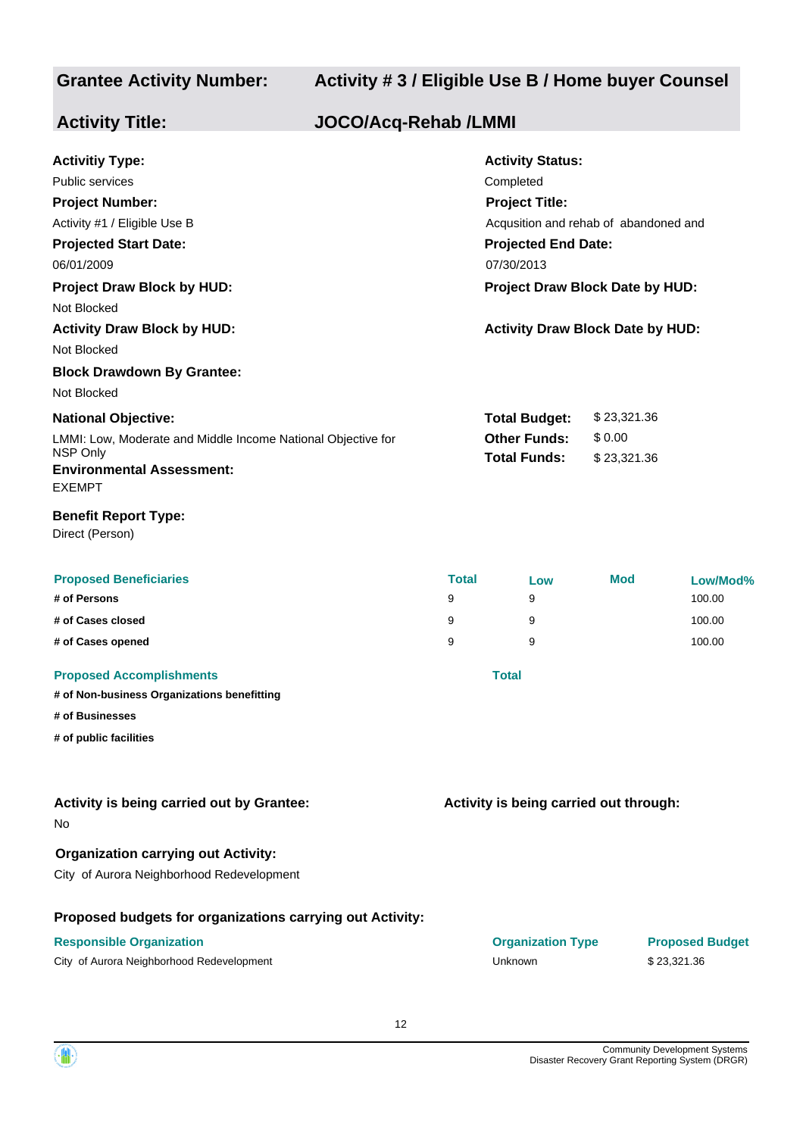### **Grantee Activity Number:**

### **Activity # 3 / Eligible Use B / Home buyer Counsel**

| <b>Activity Title:</b>                                                                                                                                                                                                                                            | <b>JOCO/Acq-Rehab /LMMI</b> |                             |                                                                                                                                                                                                                                  |                                      |                                        |
|-------------------------------------------------------------------------------------------------------------------------------------------------------------------------------------------------------------------------------------------------------------------|-----------------------------|-----------------------------|----------------------------------------------------------------------------------------------------------------------------------------------------------------------------------------------------------------------------------|--------------------------------------|----------------------------------------|
| <b>Activitiy Type:</b><br><b>Public services</b><br><b>Project Number:</b><br>Activity #1 / Eligible Use B<br><b>Projected Start Date:</b><br>06/01/2009<br><b>Project Draw Block by HUD:</b><br>Not Blocked<br><b>Activity Draw Block by HUD:</b><br>Not Blocked |                             |                             | <b>Activity Status:</b><br>Completed<br><b>Project Title:</b><br>Acqusition and rehab of abandoned and<br><b>Projected End Date:</b><br>07/30/2013<br>Project Draw Block Date by HUD:<br><b>Activity Draw Block Date by HUD:</b> |                                      |                                        |
| <b>Block Drawdown By Grantee:</b><br>Not Blocked<br><b>National Objective:</b><br>LMMI: Low, Moderate and Middle Income National Objective for<br>NSP Only<br><b>Environmental Assessment:</b><br><b>EXEMPT</b>                                                   |                             |                             | <b>Total Budget:</b><br><b>Other Funds:</b><br><b>Total Funds:</b>                                                                                                                                                               | \$23,321.36<br>\$0.00<br>\$23,321.36 |                                        |
| <b>Benefit Report Type:</b><br>Direct (Person)                                                                                                                                                                                                                    |                             |                             |                                                                                                                                                                                                                                  |                                      |                                        |
| <b>Proposed Beneficiaries</b><br># of Persons<br># of Cases closed<br># of Cases opened                                                                                                                                                                           |                             | <b>Total</b><br>9<br>9<br>9 | Low<br>9<br>9<br>9                                                                                                                                                                                                               | <b>Mod</b>                           | Low/Mod%<br>100.00<br>100.00<br>100.00 |
| <b>Proposed Accomplishments</b><br># of Non-business Organizations benefitting<br># of Businesses<br># of public facilities                                                                                                                                       |                             |                             | <b>Total</b>                                                                                                                                                                                                                     |                                      |                                        |
| Activity is being carried out by Grantee:<br>No                                                                                                                                                                                                                   |                             |                             | Activity is being carried out through:                                                                                                                                                                                           |                                      |                                        |
| <b>Organization carrying out Activity:</b><br>City of Aurora Neighborhood Redevelopment                                                                                                                                                                           |                             |                             |                                                                                                                                                                                                                                  |                                      |                                        |
| Proposed budgets for organizations carrying out Activity:<br><b>Responsible Organization</b><br>City of Aurora Neighborhood Redevelopment                                                                                                                         |                             |                             | <b>Organization Type</b><br>Unknown                                                                                                                                                                                              |                                      | <b>Proposed Budget</b><br>\$23,321.36  |

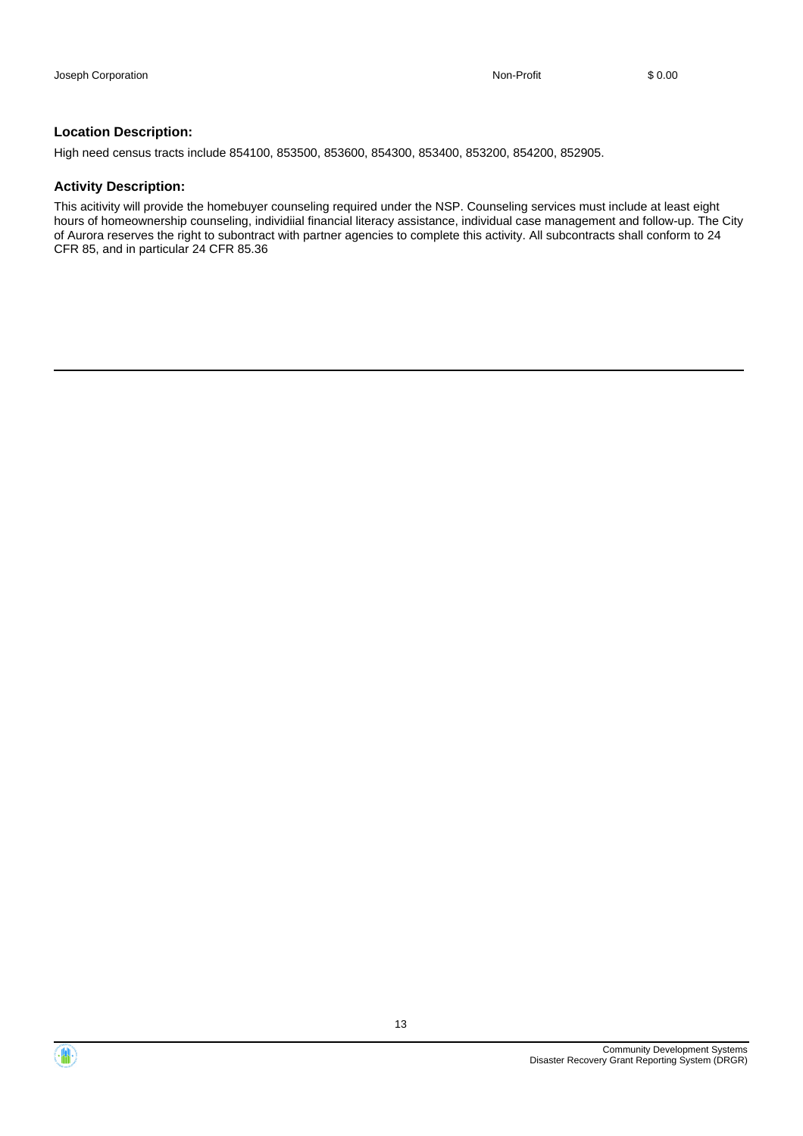High need census tracts include 854100, 853500, 853600, 854300, 853400, 853200, 854200, 852905.

#### **Activity Description:**

This acitivity will provide the homebuyer counseling required under the NSP. Counseling services must include at least eight hours of homeownership counseling, individiial financial literacy assistance, individual case management and follow-up. The City of Aurora reserves the right to subontract with partner agencies to complete this activity. All subcontracts shall conform to 24 CFR 85, and in particular 24 CFR 85.36

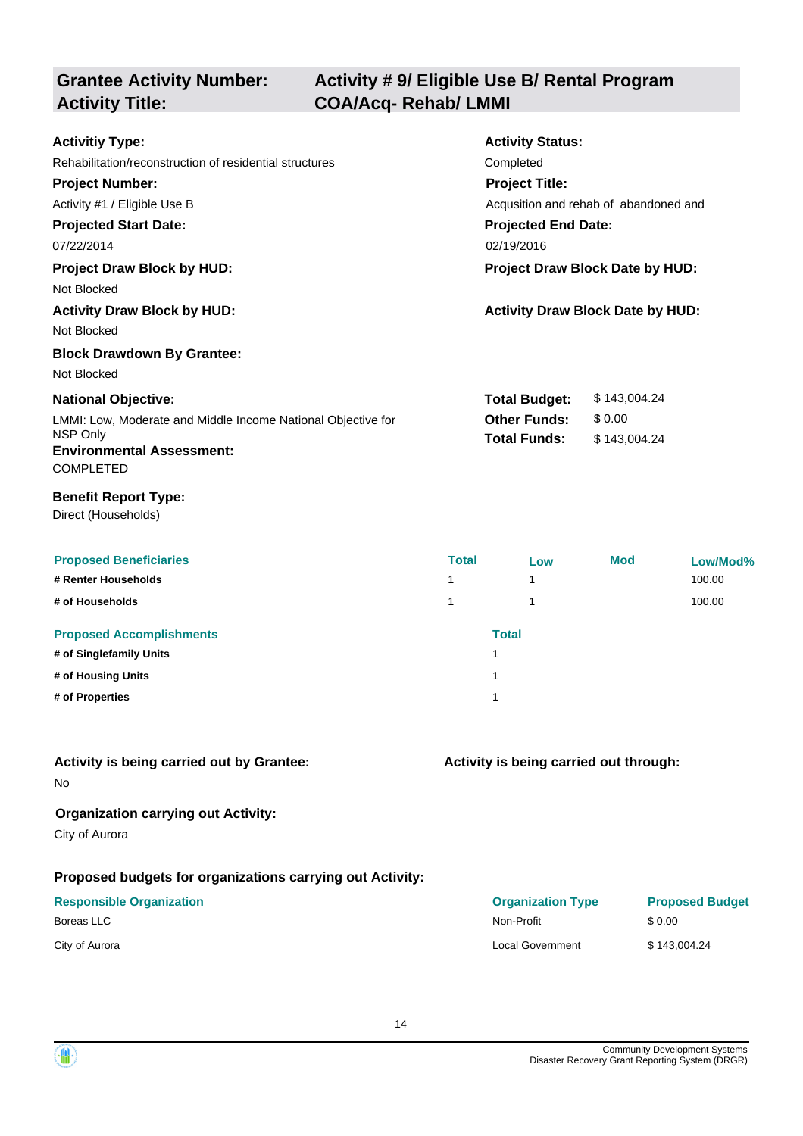### **Grantee Activity Number: Activity Title: COA/Acq- Rehab/ LMMI**

# **Activity # 9/ Eligible Use B/ Rental Program**

| <b>Activitiy Type:</b>                                       | <b>Activity Status:</b>                |                                         |  |
|--------------------------------------------------------------|----------------------------------------|-----------------------------------------|--|
| Rehabilitation/reconstruction of residential structures      | Completed                              |                                         |  |
| <b>Project Number:</b>                                       | <b>Project Title:</b>                  |                                         |  |
| Activity #1 / Eligible Use B                                 | Acqusition and rehab of abandoned and  |                                         |  |
| <b>Projected Start Date:</b>                                 | <b>Projected End Date:</b>             |                                         |  |
| 07/22/2014                                                   | 02/19/2016                             |                                         |  |
| <b>Project Draw Block by HUD:</b>                            | <b>Project Draw Block Date by HUD:</b> |                                         |  |
| Not Blocked                                                  |                                        |                                         |  |
| <b>Activity Draw Block by HUD:</b>                           |                                        | <b>Activity Draw Block Date by HUD:</b> |  |
| Not Blocked                                                  |                                        |                                         |  |
| <b>Block Drawdown By Grantee:</b>                            |                                        |                                         |  |
| Not Blocked                                                  |                                        |                                         |  |
| <b>National Objective:</b>                                   | <b>Total Budget:</b>                   | \$143,004.24                            |  |
| LMMI: Low, Moderate and Middle Income National Objective for | <b>Other Funds:</b>                    | \$0.00                                  |  |
| NSP Only<br><b>Environmental Assessment:</b>                 | <b>Total Funds:</b>                    | \$143,004.24                            |  |
| <b>COMPLETED</b><br><b>Benefit Report Type:</b>              |                                        |                                         |  |

| <b>Proposed Beneficiaries</b><br># Renter Households<br># of Households | <b>Total</b><br>1<br>1 | Low          | <b>Mod</b> | Low/Mod%<br>100.00<br>100.00 |
|-------------------------------------------------------------------------|------------------------|--------------|------------|------------------------------|
| <b>Proposed Accomplishments</b>                                         |                        | <b>Total</b> |            |                              |
| # of Singlefamily Units                                                 |                        | 4            |            |                              |
| # of Housing Units                                                      |                        | 4            |            |                              |
| # of Properties                                                         |                        | 4            |            |                              |

### **Activity is being carried out by Grantee:**

No

### **Organization carrying out Activity:**

City of Aurora

Direct (Households)

### **Proposed budgets for organizations carrying out Activity:**

|  | <b>Responsible Organization</b> |
|--|---------------------------------|
|--|---------------------------------|

**Activity is being carried out through:**

| <b>Responsible Organization</b> | <b>Organization Type</b> | <b>Proposed Budget</b> |
|---------------------------------|--------------------------|------------------------|
| Boreas LLC                      | Non-Profit               | \$0.00                 |
| City of Aurora                  | Local Government         | \$143,004.24           |

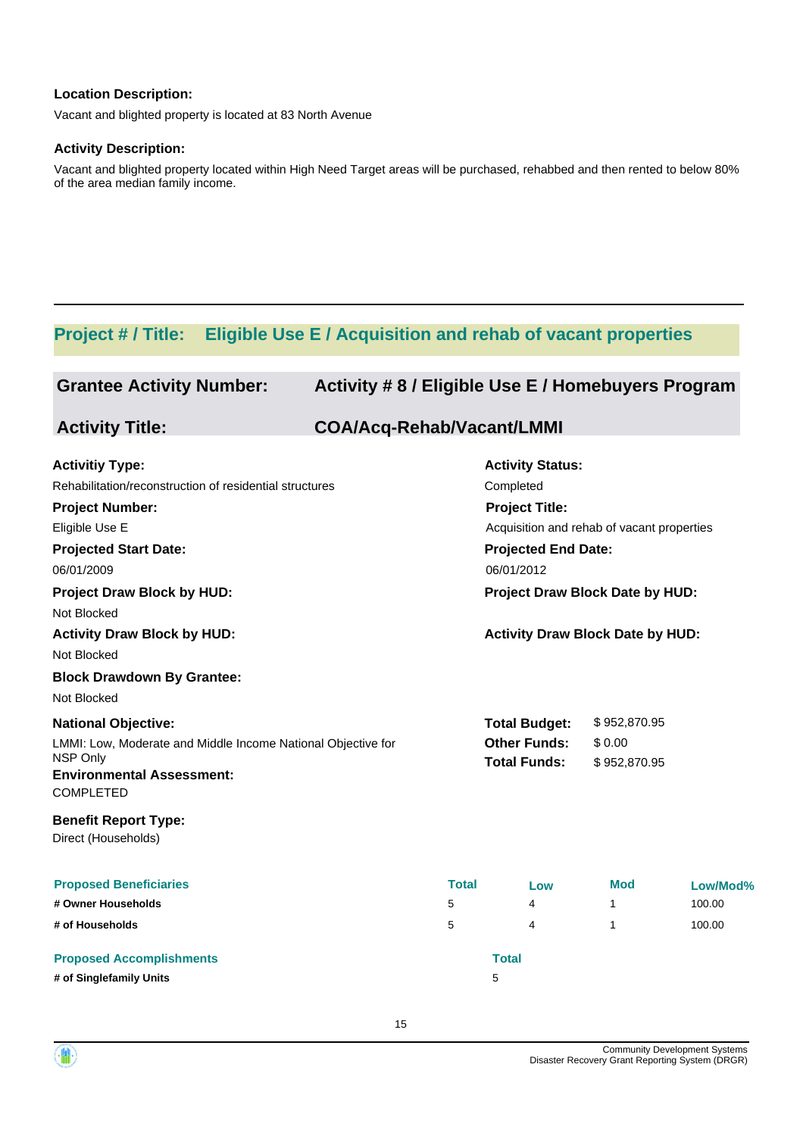Vacant and blighted property is located at 83 North Avenue

#### **Activity Description:**

Vacant and blighted property located within High Need Target areas will be purchased, rehabbed and then rented to below 80% of the area median family income.

### **Project # / Title: Eligible Use E / Acquisition and rehab of vacant properties**

| <b>Grantee Activity Number:</b>                              | Activity #8 / Eligible Use E / Homebuyers Program |              |                                            |              |          |
|--------------------------------------------------------------|---------------------------------------------------|--------------|--------------------------------------------|--------------|----------|
| <b>Activity Title:</b>                                       | <b>COA/Acq-Rehab/Vacant/LMMI</b>                  |              |                                            |              |          |
| <b>Activitiy Type:</b>                                       |                                                   |              | <b>Activity Status:</b>                    |              |          |
| Rehabilitation/reconstruction of residential structures      |                                                   |              | Completed                                  |              |          |
| <b>Project Number:</b>                                       |                                                   |              | <b>Project Title:</b>                      |              |          |
| Eligible Use E                                               |                                                   |              | Acquisition and rehab of vacant properties |              |          |
| <b>Projected Start Date:</b>                                 |                                                   |              | <b>Projected End Date:</b>                 |              |          |
| 06/01/2009                                                   |                                                   |              | 06/01/2012                                 |              |          |
| <b>Project Draw Block by HUD:</b>                            |                                                   |              | Project Draw Block Date by HUD:            |              |          |
| Not Blocked                                                  |                                                   |              |                                            |              |          |
| <b>Activity Draw Block by HUD:</b>                           |                                                   |              | <b>Activity Draw Block Date by HUD:</b>    |              |          |
| Not Blocked                                                  |                                                   |              |                                            |              |          |
| <b>Block Drawdown By Grantee:</b>                            |                                                   |              |                                            |              |          |
| Not Blocked                                                  |                                                   |              |                                            |              |          |
| <b>National Objective:</b>                                   |                                                   |              | <b>Total Budget:</b>                       | \$952,870.95 |          |
| LMMI: Low, Moderate and Middle Income National Objective for |                                                   |              | <b>Other Funds:</b>                        | \$0.00       |          |
| NSP Only                                                     |                                                   |              | <b>Total Funds:</b>                        | \$952,870.95 |          |
| <b>Environmental Assessment:</b><br><b>COMPLETED</b>         |                                                   |              |                                            |              |          |
| <b>Benefit Report Type:</b><br>Direct (Households)           |                                                   |              |                                            |              |          |
| <b>Proposed Beneficiaries</b>                                |                                                   | <b>Total</b> | Low                                        | Mod          | Low/Mod% |
| # Owner Households                                           |                                                   | 5            | 4                                          | 1            | 100.00   |
| # of Households                                              |                                                   | 5            | 4                                          | 1            | 100.00   |
| <b>Proposed Accomplishments</b>                              |                                                   |              | <b>Total</b>                               |              |          |
| # of Singlefamily Units                                      |                                                   |              | 5                                          |              |          |

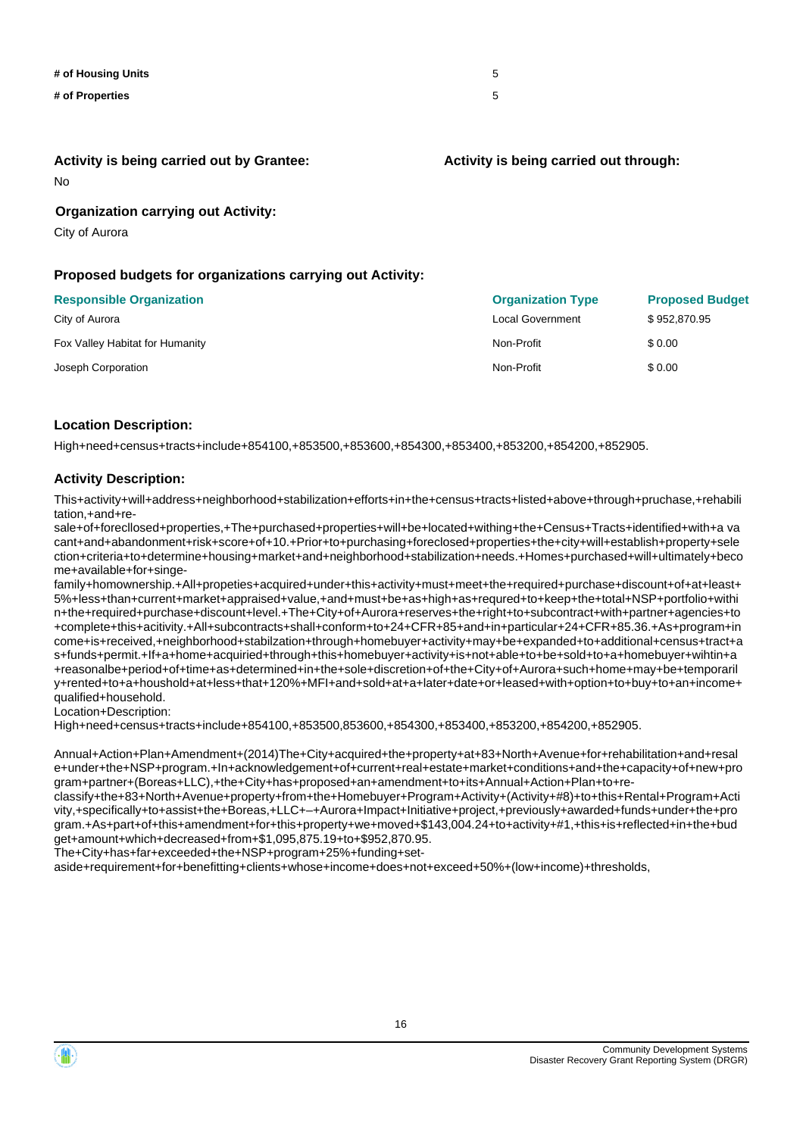| # of Housing Units | -5 |
|--------------------|----|
| # of Properties    | 5  |

**Activity is being carried out by Grantee:**

#### **Activity is being carried out through:**

No

### **Organization carrying out Activity:**

City of Aurora

### **Proposed budgets for organizations carrying out Activity:**

| <b>Responsible Organization</b> | <b>Organization Type</b> | <b>Proposed Budget</b> |
|---------------------------------|--------------------------|------------------------|
| City of Aurora                  | Local Government         | \$952,870.95           |
| Fox Valley Habitat for Humanity | Non-Profit               | \$0.00                 |
| Joseph Corporation              | Non-Profit               | \$0.00                 |

#### **Location Description:**

High+need+census+tracts+include+854100,+853500,+853600,+854300,+853400,+853200,+854200,+852905.

### **Activity Description:**

This+activity+will+address+neighborhood+stabilization+efforts+in+the+census+tracts+listed+above+through+pruchase,+rehabili tation,+and+re-

sale+of+forecllosed+properties,+The+purchased+properties+will+be+located+withing+the+Census+Tracts+identified+with+a va cant+and+abandonment+risk+score+of+10.+Prior+to+purchasing+foreclosed+properties+the+city+will+establish+property+sele ction+criteria+to+determine+housing+market+and+neighborhood+stabilization+needs.+Homes+purchased+will+ultimately+beco me+available+for+singe-

family+homownership.+All+propeties+acquired+under+this+activity+must+meet+the+required+purchase+discount+of+at+least+ 5%+less+than+current+market+appraised+value,+and+must+be+as+high+as+requred+to+keep+the+total+NSP+portfolio+withi n+the+required+purchase+discount+level.+The+City+of+Aurora+reserves+the+right+to+subcontract+with+partner+agencies+to +complete+this+acitivity.+All+subcontracts+shall+conform+to+24+CFR+85+and+in+particular+24+CFR+85.36.+As+program+in come+is+received,+neighborhood+stabilzation+through+homebuyer+activity+may+be+expanded+to+additional+census+tract+a s+funds+permit.+If+a+home+acquiried+through+this+homebuyer+activity+is+not+able+to+be+sold+to+a+homebuyer+wihtin+a +reasonalbe+period+of+time+as+determined+in+the+sole+discretion+of+the+City+of+Aurora+such+home+may+be+temporaril y+rented+to+a+houshold+at+less+that+120%+MFI+and+sold+at+a+later+date+or+leased+with+option+to+buy+to+an+income+ qualified+household.

Location+Description:

High+need+census+tracts+include+854100,+853500,853600,+854300,+853400,+853200,+854200,+852905.

Annual+Action+Plan+Amendment+(2014)The+City+acquired+the+property+at+83+North+Avenue+for+rehabilitation+and+resal e+under+the+NSP+program.+In+acknowledgement+of+current+real+estate+market+conditions+and+the+capacity+of+new+pro gram+partner+(Boreas+LLC),+the+City+has+proposed+an+amendment+to+its+Annual+Action+Plan+to+re-

classify+the+83+North+Avenue+property+from+the+Homebuyer+Program+Activity+(Activity+#8)+to+this+Rental+Program+Acti vity,+specifically+to+assist+the+Boreas,+LLC+–+Aurora+Impact+Initiative+project,+previously+awarded+funds+under+the+pro gram.+As+part+of+this+amendment+for+this+property+we+moved+\$143,004.24+to+activity+#1,+this+is+reflected+in+the+bud get+amount+which+decreased+from+\$1,095,875.19+to+\$952,870.95.

The+City+has+far+exceeded+the+NSP+program+25%+funding+set-

aside+requirement+for+benefitting+clients+whose+income+does+not+exceed+50%+(low+income)+thresholds,

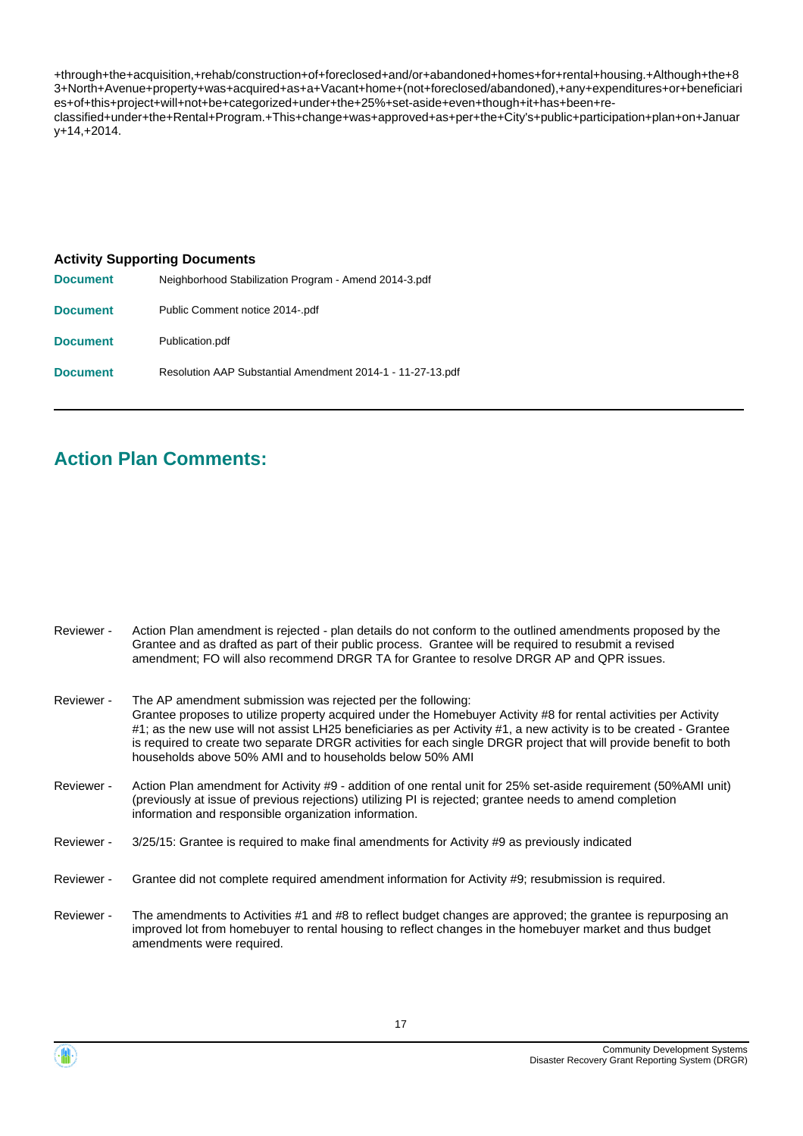+through+the+acquisition,+rehab/construction+of+foreclosed+and/or+abandoned+homes+for+rental+housing.+Although+the+8 3+North+Avenue+property+was+acquired+as+a+Vacant+home+(not+foreclosed/abandoned),+any+expenditures+or+beneficiari es+of+this+project+will+not+be+categorized+under+the+25%+set-aside+even+though+it+has+been+reclassified+under+the+Rental+Program.+This+change+was+approved+as+per+the+City's+public+participation+plan+on+Januar y+14,+2014.

#### **Activity Supporting Documents**

| <b>Document</b> | Neighborhood Stabilization Program - Amend 2014-3.pdf      |
|-----------------|------------------------------------------------------------|
| <b>Document</b> | Public Comment notice 2014-.pdf                            |
| <b>Document</b> | Publication.pdf                                            |
| <b>Document</b> | Resolution AAP Substantial Amendment 2014-1 - 11-27-13.pdf |

### **Action Plan Comments:**

| Reviewer - | Action Plan amendment is rejected - plan details do not conform to the outlined amendments proposed by the<br>Grantee and as drafted as part of their public process. Grantee will be required to resubmit a revised<br>amendment; FO will also recommend DRGR TA for Grantee to resolve DRGR AP and QPR issues.                                                                                                                                                                        |
|------------|-----------------------------------------------------------------------------------------------------------------------------------------------------------------------------------------------------------------------------------------------------------------------------------------------------------------------------------------------------------------------------------------------------------------------------------------------------------------------------------------|
| Reviewer - | The AP amendment submission was rejected per the following:<br>Grantee proposes to utilize property acquired under the Homebuyer Activity #8 for rental activities per Activity<br>#1; as the new use will not assist LH25 beneficiaries as per Activity #1, a new activity is to be created - Grantee<br>is required to create two separate DRGR activities for each single DRGR project that will provide benefit to both<br>households above 50% AMI and to households below 50% AMI |
| Reviewer - | Action Plan amendment for Activity #9 - addition of one rental unit for 25% set-aside requirement (50%AMI unit)<br>(previously at issue of previous rejections) utilizing PI is rejected; grantee needs to amend completion<br>information and responsible organization information.                                                                                                                                                                                                    |
| Reviewer - | 3/25/15: Grantee is required to make final amendments for Activity #9 as previously indicated                                                                                                                                                                                                                                                                                                                                                                                           |

- Reviewer Grantee did not complete required amendment information for Activity #9; resubmission is required.
- The amendments to Activities #1 and #8 to reflect budget changes are approved; the grantee is repurposing an improved lot from homebuyer to rental housing to reflect changes in the homebuyer market and thus budget amendments were required. Reviewer -